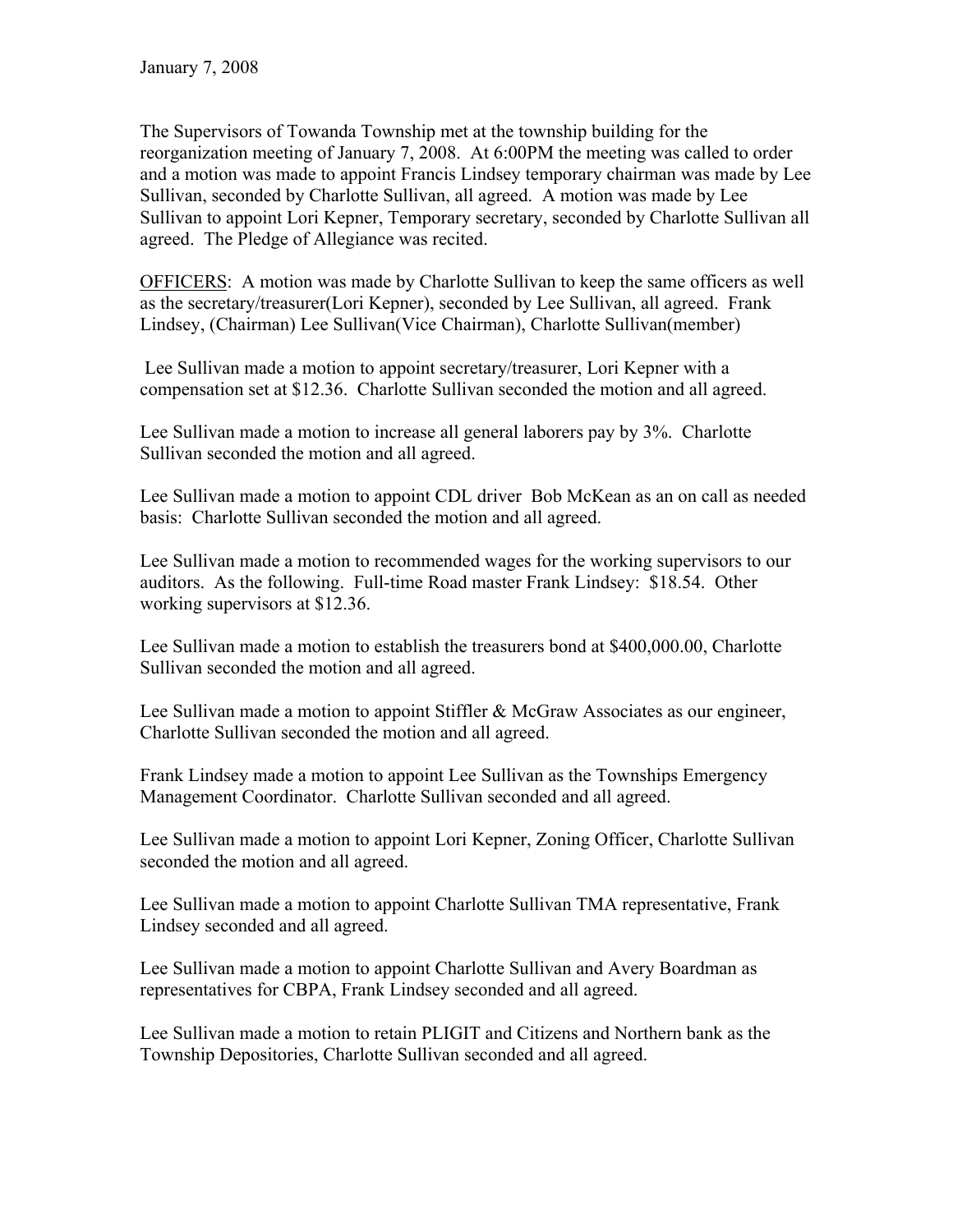The Supervisors of Towanda Township met at the township building for the reorganization meeting of January 7, 2008. At 6:00PM the meeting was called to order and a motion was made to appoint Francis Lindsey temporary chairman was made by Lee Sullivan, seconded by Charlotte Sullivan, all agreed. A motion was made by Lee Sullivan to appoint Lori Kepner, Temporary secretary, seconded by Charlotte Sullivan all agreed. The Pledge of Allegiance was recited.

OFFICERS: A motion was made by Charlotte Sullivan to keep the same officers as well as the secretary/treasurer(Lori Kepner), seconded by Lee Sullivan, all agreed. Frank Lindsey, (Chairman) Lee Sullivan(Vice Chairman), Charlotte Sullivan(member)

 Lee Sullivan made a motion to appoint secretary/treasurer, Lori Kepner with a compensation set at \$12.36. Charlotte Sullivan seconded the motion and all agreed.

Lee Sullivan made a motion to increase all general laborers pay by 3%. Charlotte Sullivan seconded the motion and all agreed.

Lee Sullivan made a motion to appoint CDL driver Bob McKean as an on call as needed basis: Charlotte Sullivan seconded the motion and all agreed.

Lee Sullivan made a motion to recommended wages for the working supervisors to our auditors. As the following. Full-time Road master Frank Lindsey: \$18.54. Other working supervisors at \$12.36.

Lee Sullivan made a motion to establish the treasurers bond at \$400,000.00, Charlotte Sullivan seconded the motion and all agreed.

Lee Sullivan made a motion to appoint Stiffler & McGraw Associates as our engineer, Charlotte Sullivan seconded the motion and all agreed.

Frank Lindsey made a motion to appoint Lee Sullivan as the Townships Emergency Management Coordinator. Charlotte Sullivan seconded and all agreed.

Lee Sullivan made a motion to appoint Lori Kepner, Zoning Officer, Charlotte Sullivan seconded the motion and all agreed.

Lee Sullivan made a motion to appoint Charlotte Sullivan TMA representative, Frank Lindsey seconded and all agreed.

Lee Sullivan made a motion to appoint Charlotte Sullivan and Avery Boardman as representatives for CBPA, Frank Lindsey seconded and all agreed.

Lee Sullivan made a motion to retain PLIGIT and Citizens and Northern bank as the Township Depositories, Charlotte Sullivan seconded and all agreed.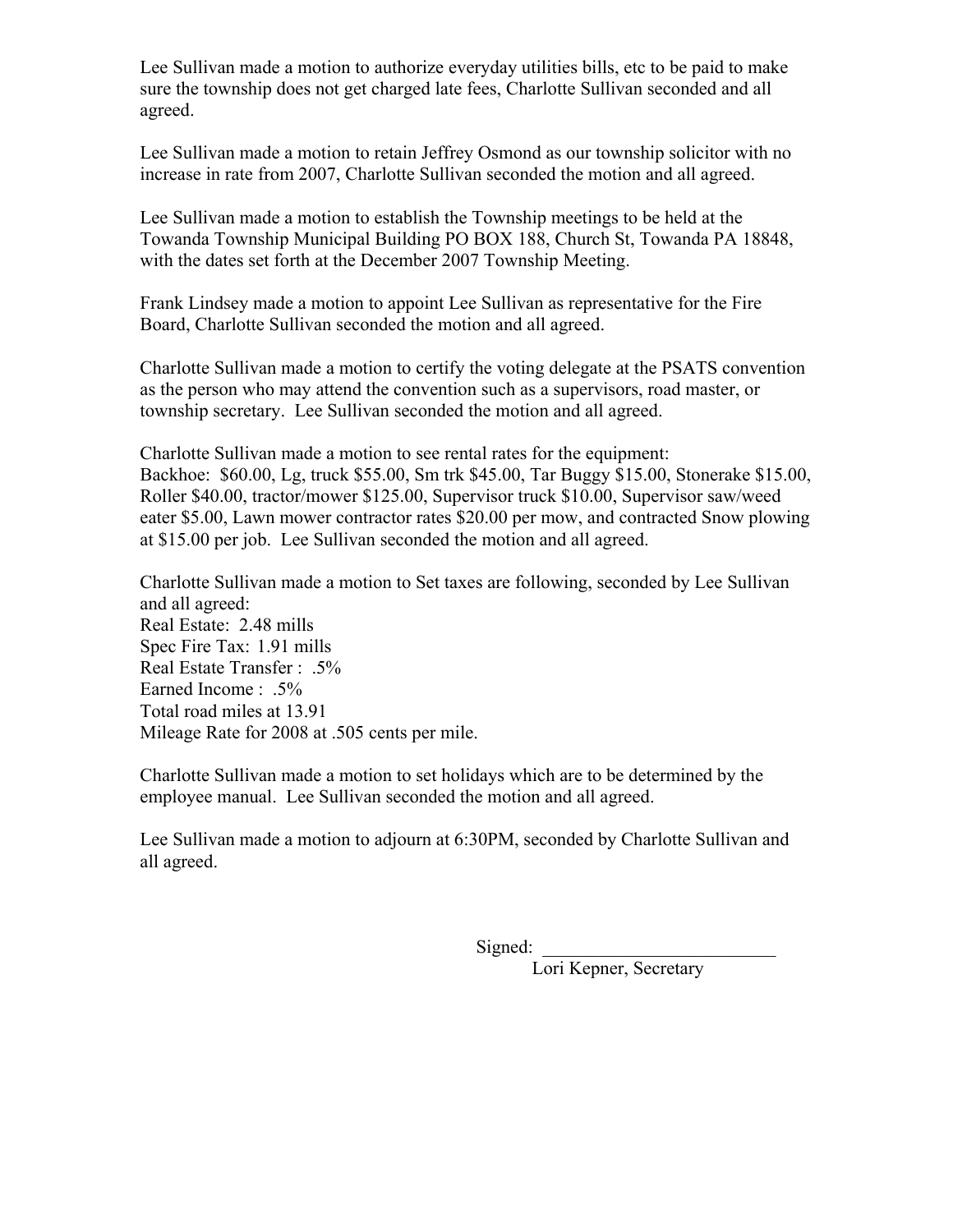Lee Sullivan made a motion to authorize everyday utilities bills, etc to be paid to make sure the township does not get charged late fees, Charlotte Sullivan seconded and all agreed.

Lee Sullivan made a motion to retain Jeffrey Osmond as our township solicitor with no increase in rate from 2007, Charlotte Sullivan seconded the motion and all agreed.

Lee Sullivan made a motion to establish the Township meetings to be held at the Towanda Township Municipal Building PO BOX 188, Church St, Towanda PA 18848, with the dates set forth at the December 2007 Township Meeting.

Frank Lindsey made a motion to appoint Lee Sullivan as representative for the Fire Board, Charlotte Sullivan seconded the motion and all agreed.

Charlotte Sullivan made a motion to certify the voting delegate at the PSATS convention as the person who may attend the convention such as a supervisors, road master, or township secretary. Lee Sullivan seconded the motion and all agreed.

Charlotte Sullivan made a motion to see rental rates for the equipment: Backhoe: \$60.00, Lg, truck \$55.00, Sm trk \$45.00, Tar Buggy \$15.00, Stonerake \$15.00, Roller \$40.00, tractor/mower \$125.00, Supervisor truck \$10.00, Supervisor saw/weed eater \$5.00, Lawn mower contractor rates \$20.00 per mow, and contracted Snow plowing at \$15.00 per job. Lee Sullivan seconded the motion and all agreed.

Charlotte Sullivan made a motion to Set taxes are following, seconded by Lee Sullivan and all agreed: Real Estate: 2.48 mills Spec Fire Tax: 1.91 mills Real Estate Transfer : .5% Earned Income : .5% Total road miles at 13.91 Mileage Rate for 2008 at .505 cents per mile.

Charlotte Sullivan made a motion to set holidays which are to be determined by the employee manual. Lee Sullivan seconded the motion and all agreed.

Lee Sullivan made a motion to adjourn at 6:30PM, seconded by Charlotte Sullivan and all agreed.

 $Signed:$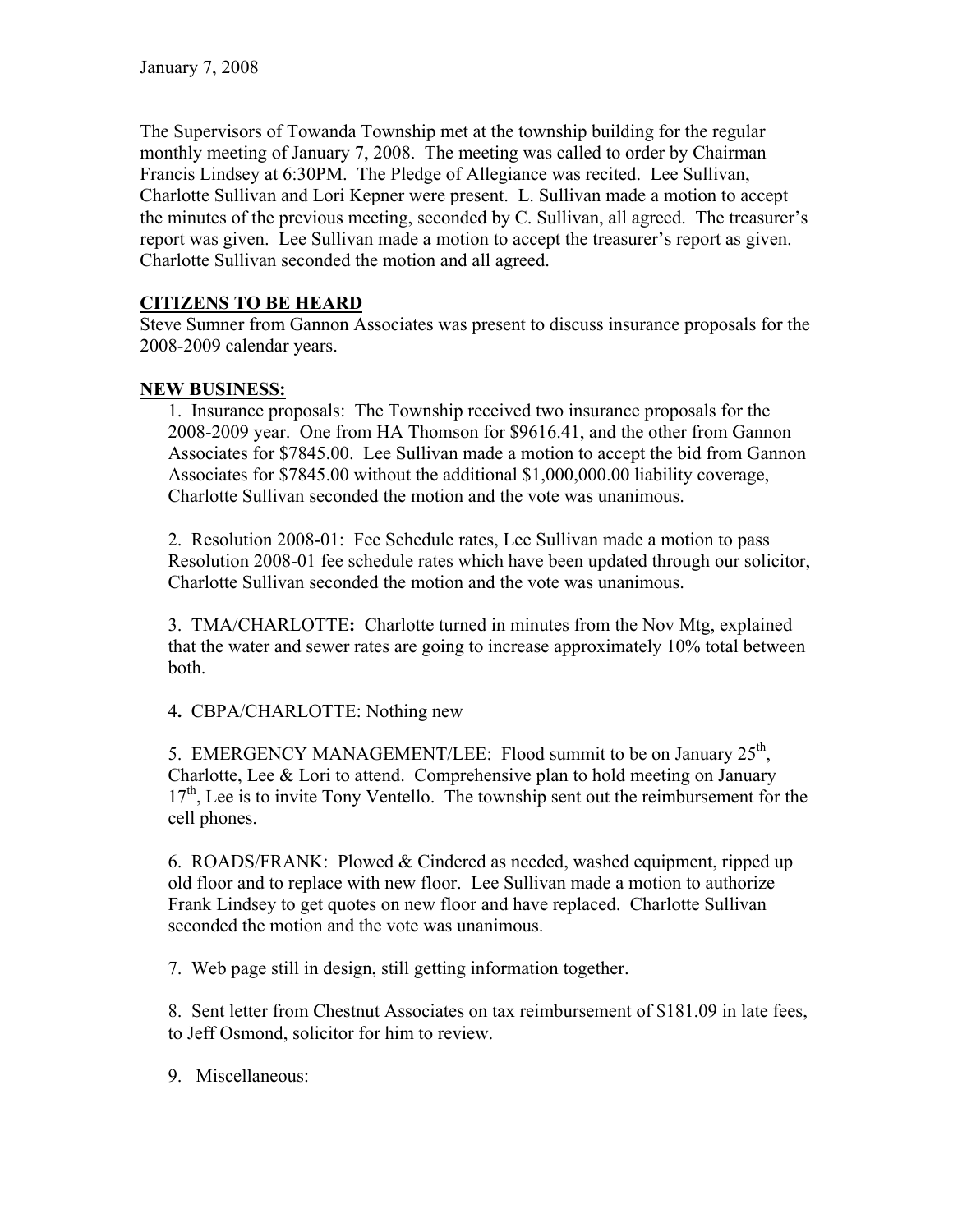The Supervisors of Towanda Township met at the township building for the regular monthly meeting of January 7, 2008. The meeting was called to order by Chairman Francis Lindsey at 6:30PM. The Pledge of Allegiance was recited. Lee Sullivan, Charlotte Sullivan and Lori Kepner were present. L. Sullivan made a motion to accept the minutes of the previous meeting, seconded by C. Sullivan, all agreed. The treasurer's report was given. Lee Sullivan made a motion to accept the treasurer's report as given. Charlotte Sullivan seconded the motion and all agreed.

# **CITIZENS TO BE HEARD**

Steve Sumner from Gannon Associates was present to discuss insurance proposals for the 2008-2009 calendar years.

# **NEW BUSINESS:**

1. Insurance proposals: The Township received two insurance proposals for the 2008-2009 year. One from HA Thomson for \$9616.41, and the other from Gannon Associates for \$7845.00. Lee Sullivan made a motion to accept the bid from Gannon Associates for \$7845.00 without the additional \$1,000,000.00 liability coverage, Charlotte Sullivan seconded the motion and the vote was unanimous.

2. Resolution 2008-01: Fee Schedule rates, Lee Sullivan made a motion to pass Resolution 2008-01 fee schedule rates which have been updated through our solicitor, Charlotte Sullivan seconded the motion and the vote was unanimous.

3.TMA/CHARLOTTE**:** Charlotte turned in minutes from the Nov Mtg, explained that the water and sewer rates are going to increase approximately 10% total between both.

4**.** CBPA/CHARLOTTE: Nothing new

5. EMERGENCY MANAGEMENT/LEE: Flood summit to be on January 25<sup>th</sup>, Charlotte, Lee & Lori to attend. Comprehensive plan to hold meeting on January  $17<sup>th</sup>$ , Lee is to invite Tony Ventello. The township sent out the reimbursement for the cell phones.

6. ROADS/FRANK: Plowed & Cindered as needed, washed equipment, ripped up old floor and to replace with new floor. Lee Sullivan made a motion to authorize Frank Lindsey to get quotes on new floor and have replaced. Charlotte Sullivan seconded the motion and the vote was unanimous.

7. Web page still in design, still getting information together.

8. Sent letter from Chestnut Associates on tax reimbursement of \$181.09 in late fees, to Jeff Osmond, solicitor for him to review.

9. Miscellaneous: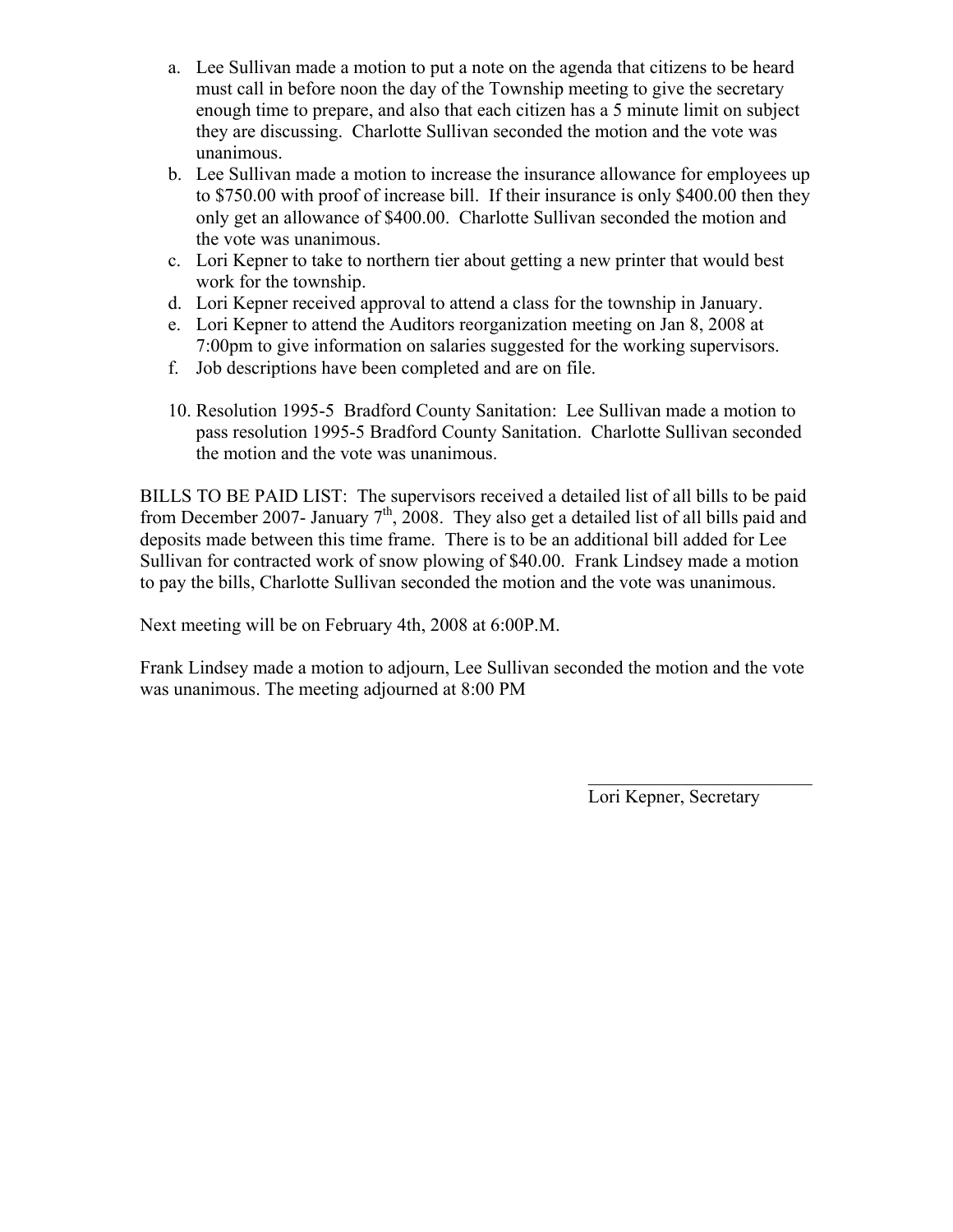- a. Lee Sullivan made a motion to put a note on the agenda that citizens to be heard must call in before noon the day of the Township meeting to give the secretary enough time to prepare, and also that each citizen has a 5 minute limit on subject they are discussing. Charlotte Sullivan seconded the motion and the vote was unanimous.
- b. Lee Sullivan made a motion to increase the insurance allowance for employees up to \$750.00 with proof of increase bill. If their insurance is only \$400.00 then they only get an allowance of \$400.00. Charlotte Sullivan seconded the motion and the vote was unanimous.
- c. Lori Kepner to take to northern tier about getting a new printer that would best work for the township.
- d. Lori Kepner received approval to attend a class for the township in January.
- e. Lori Kepner to attend the Auditors reorganization meeting on Jan 8, 2008 at 7:00pm to give information on salaries suggested for the working supervisors.
- f. Job descriptions have been completed and are on file.
- 10. Resolution 1995-5 Bradford County Sanitation: Lee Sullivan made a motion to pass resolution 1995-5 Bradford County Sanitation. Charlotte Sullivan seconded the motion and the vote was unanimous.

BILLS TO BE PAID LIST: The supervisors received a detailed list of all bills to be paid from December 2007- January  $7<sup>th</sup>$ , 2008. They also get a detailed list of all bills paid and deposits made between this time frame. There is to be an additional bill added for Lee Sullivan for contracted work of snow plowing of \$40.00. Frank Lindsey made a motion to pay the bills, Charlotte Sullivan seconded the motion and the vote was unanimous.

Next meeting will be on February 4th, 2008 at 6:00P.M.

Frank Lindsey made a motion to adjourn, Lee Sullivan seconded the motion and the vote was unanimous. The meeting adjourned at 8:00 PM

 $\mathcal{L}_\text{max}$  and  $\mathcal{L}_\text{max}$  and  $\mathcal{L}_\text{max}$  and  $\mathcal{L}_\text{max}$  and  $\mathcal{L}_\text{max}$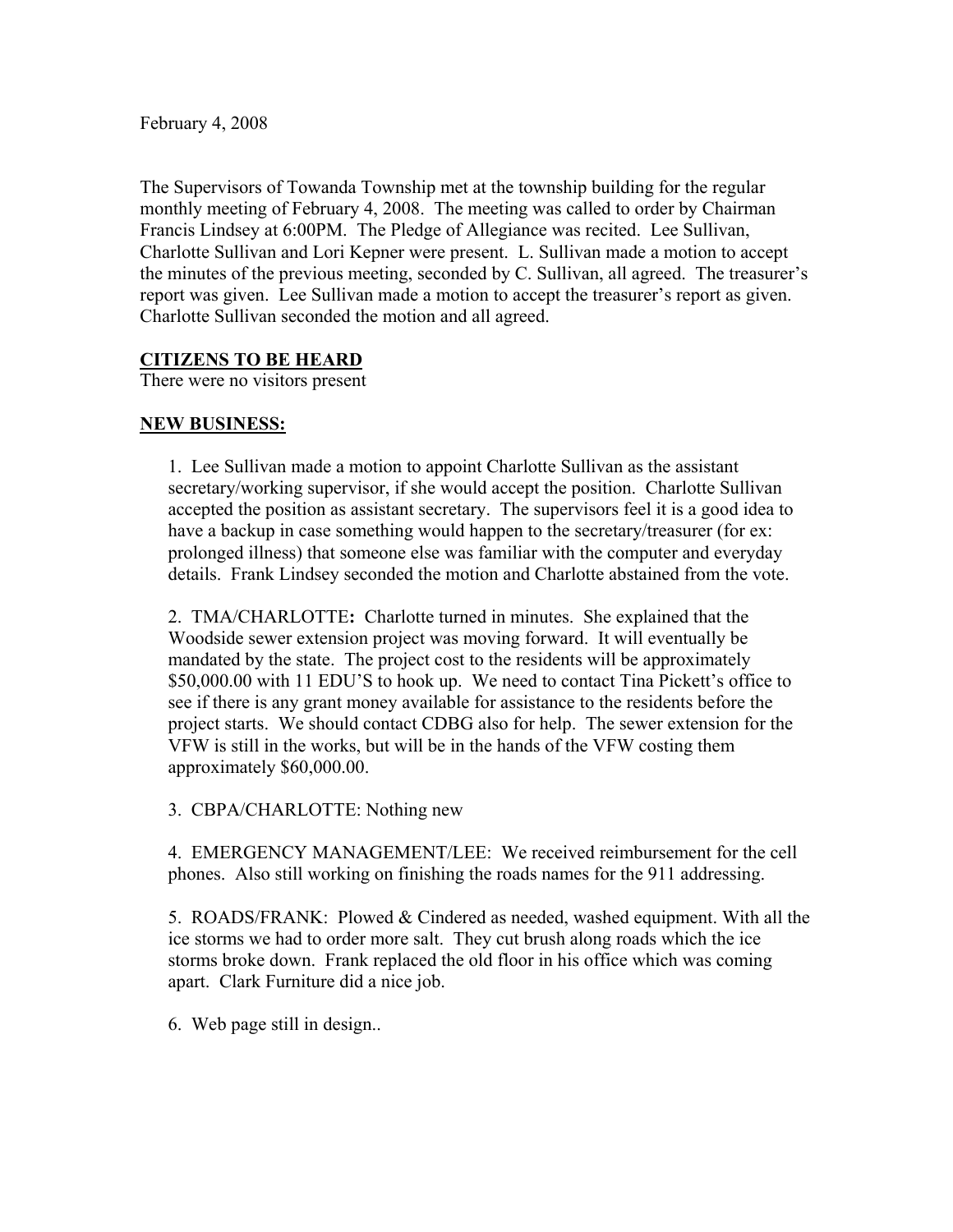February 4, 2008

The Supervisors of Towanda Township met at the township building for the regular monthly meeting of February 4, 2008. The meeting was called to order by Chairman Francis Lindsey at 6:00PM. The Pledge of Allegiance was recited. Lee Sullivan, Charlotte Sullivan and Lori Kepner were present. L. Sullivan made a motion to accept the minutes of the previous meeting, seconded by C. Sullivan, all agreed. The treasurer's report was given. Lee Sullivan made a motion to accept the treasurer's report as given. Charlotte Sullivan seconded the motion and all agreed.

## **CITIZENS TO BE HEARD**

There were no visitors present

## **NEW BUSINESS:**

1. Lee Sullivan made a motion to appoint Charlotte Sullivan as the assistant secretary/working supervisor, if she would accept the position. Charlotte Sullivan accepted the position as assistant secretary. The supervisors feel it is a good idea to have a backup in case something would happen to the secretary/treasurer (for ex: prolonged illness) that someone else was familiar with the computer and everyday details. Frank Lindsey seconded the motion and Charlotte abstained from the vote.

2.TMA/CHARLOTTE**:** Charlotte turned in minutes. She explained that the Woodside sewer extension project was moving forward. It will eventually be mandated by the state. The project cost to the residents will be approximately \$50,000.00 with 11 EDU'S to hook up. We need to contact Tina Pickett's office to see if there is any grant money available for assistance to the residents before the project starts. We should contact CDBG also for help. The sewer extension for the VFW is still in the works, but will be in the hands of the VFW costing them approximately \$60,000.00.

3.CBPA/CHARLOTTE: Nothing new

4. EMERGENCY MANAGEMENT/LEE: We received reimbursement for the cell phones. Also still working on finishing the roads names for the 911 addressing.

5. ROADS/FRANK: Plowed & Cindered as needed, washed equipment. With all the ice storms we had to order more salt. They cut brush along roads which the ice storms broke down. Frank replaced the old floor in his office which was coming apart. Clark Furniture did a nice job.

6. Web page still in design..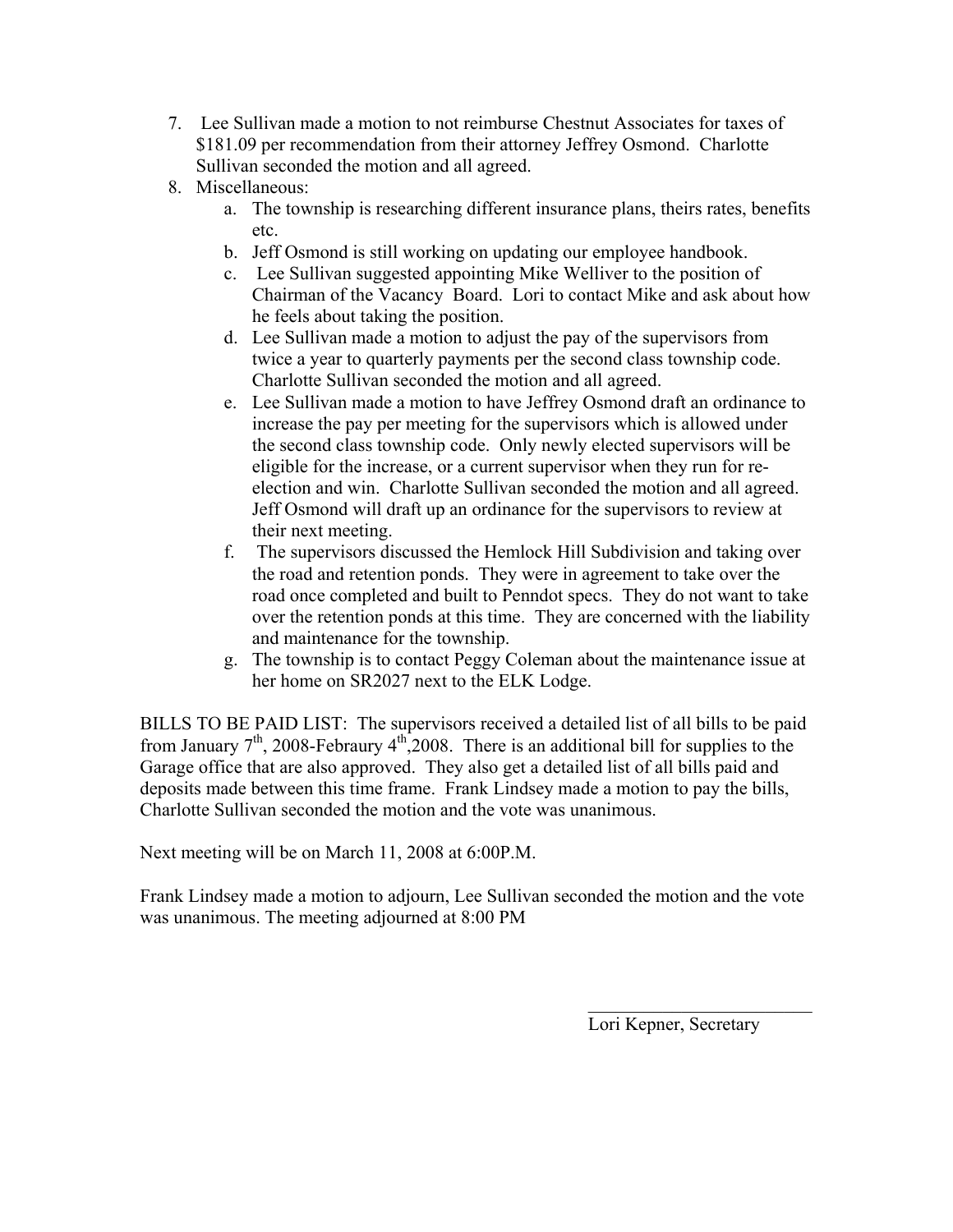- 7. Lee Sullivan made a motion to not reimburse Chestnut Associates for taxes of \$181.09 per recommendation from their attorney Jeffrey Osmond. Charlotte Sullivan seconded the motion and all agreed.
- 8. Miscellaneous:
	- a. The township is researching different insurance plans, theirs rates, benefits etc.
	- b. Jeff Osmond is still working on updating our employee handbook.
	- c. Lee Sullivan suggested appointing Mike Welliver to the position of Chairman of the Vacancy Board. Lori to contact Mike and ask about how he feels about taking the position.
	- d. Lee Sullivan made a motion to adjust the pay of the supervisors from twice a year to quarterly payments per the second class township code. Charlotte Sullivan seconded the motion and all agreed.
	- e. Lee Sullivan made a motion to have Jeffrey Osmond draft an ordinance to increase the pay per meeting for the supervisors which is allowed under the second class township code. Only newly elected supervisors will be eligible for the increase, or a current supervisor when they run for reelection and win. Charlotte Sullivan seconded the motion and all agreed. Jeff Osmond will draft up an ordinance for the supervisors to review at their next meeting.
	- f. The supervisors discussed the Hemlock Hill Subdivision and taking over the road and retention ponds. They were in agreement to take over the road once completed and built to Penndot specs. They do not want to take over the retention ponds at this time. They are concerned with the liability and maintenance for the township.
	- g. The township is to contact Peggy Coleman about the maintenance issue at her home on SR2027 next to the ELK Lodge.

BILLS TO BE PAID LIST: The supervisors received a detailed list of all bills to be paid from January  $7<sup>th</sup>$ , 2008-Febraury  $4<sup>th</sup>$ , 2008. There is an additional bill for supplies to the Garage office that are also approved. They also get a detailed list of all bills paid and deposits made between this time frame. Frank Lindsey made a motion to pay the bills, Charlotte Sullivan seconded the motion and the vote was unanimous.

Next meeting will be on March 11, 2008 at 6:00P.M.

Frank Lindsey made a motion to adjourn, Lee Sullivan seconded the motion and the vote was unanimous. The meeting adjourned at 8:00 PM

 $\mathcal{L}_\text{max}$  and  $\mathcal{L}_\text{max}$  and  $\mathcal{L}_\text{max}$  are the contract of the contract of the contract of the contract of the contract of the contract of the contract of the contract of the contract of the contract of the con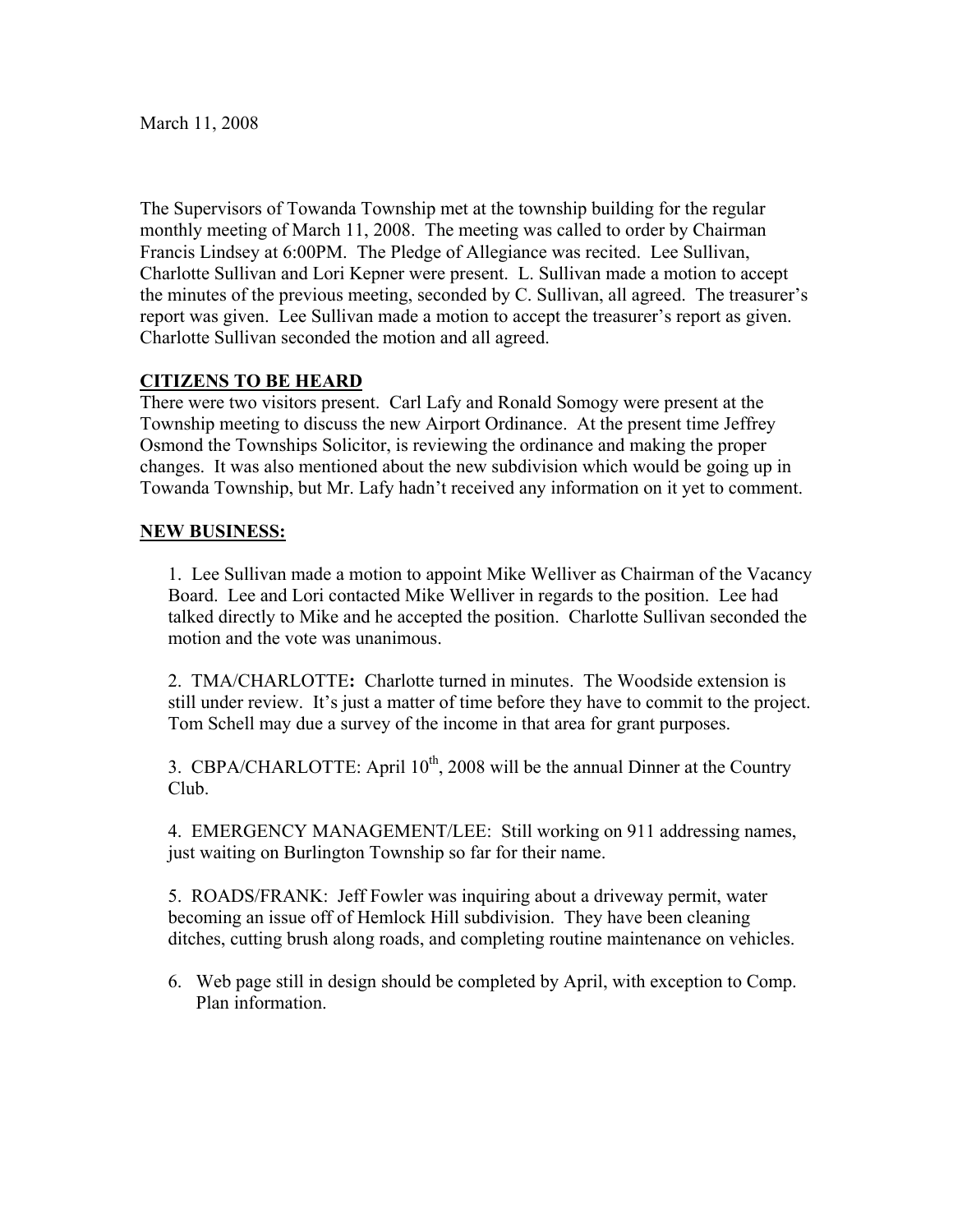March 11, 2008

The Supervisors of Towanda Township met at the township building for the regular monthly meeting of March 11, 2008. The meeting was called to order by Chairman Francis Lindsey at 6:00PM. The Pledge of Allegiance was recited. Lee Sullivan, Charlotte Sullivan and Lori Kepner were present. L. Sullivan made a motion to accept the minutes of the previous meeting, seconded by C. Sullivan, all agreed. The treasurer's report was given. Lee Sullivan made a motion to accept the treasurer's report as given. Charlotte Sullivan seconded the motion and all agreed.

## **CITIZENS TO BE HEARD**

There were two visitors present. Carl Lafy and Ronald Somogy were present at the Township meeting to discuss the new Airport Ordinance. At the present time Jeffrey Osmond the Townships Solicitor, is reviewing the ordinance and making the proper changes. It was also mentioned about the new subdivision which would be going up in Towanda Township, but Mr. Lafy hadn't received any information on it yet to comment.

## **NEW BUSINESS:**

1. Lee Sullivan made a motion to appoint Mike Welliver as Chairman of the Vacancy Board. Lee and Lori contacted Mike Welliver in regards to the position. Lee had talked directly to Mike and he accepted the position. Charlotte Sullivan seconded the motion and the vote was unanimous.

2.TMA/CHARLOTTE**:** Charlotte turned in minutes. The Woodside extension is still under review. It's just a matter of time before they have to commit to the project. Tom Schell may due a survey of the income in that area for grant purposes.

3. CBPA/CHARLOTTE: April 10<sup>th</sup>, 2008 will be the annual Dinner at the Country Club.

4. EMERGENCY MANAGEMENT/LEE: Still working on 911 addressing names, just waiting on Burlington Township so far for their name.

5. ROADS/FRANK: Jeff Fowler was inquiring about a driveway permit, water becoming an issue off of Hemlock Hill subdivision. They have been cleaning ditches, cutting brush along roads, and completing routine maintenance on vehicles.

6. Web page still in design should be completed by April, with exception to Comp. Plan information.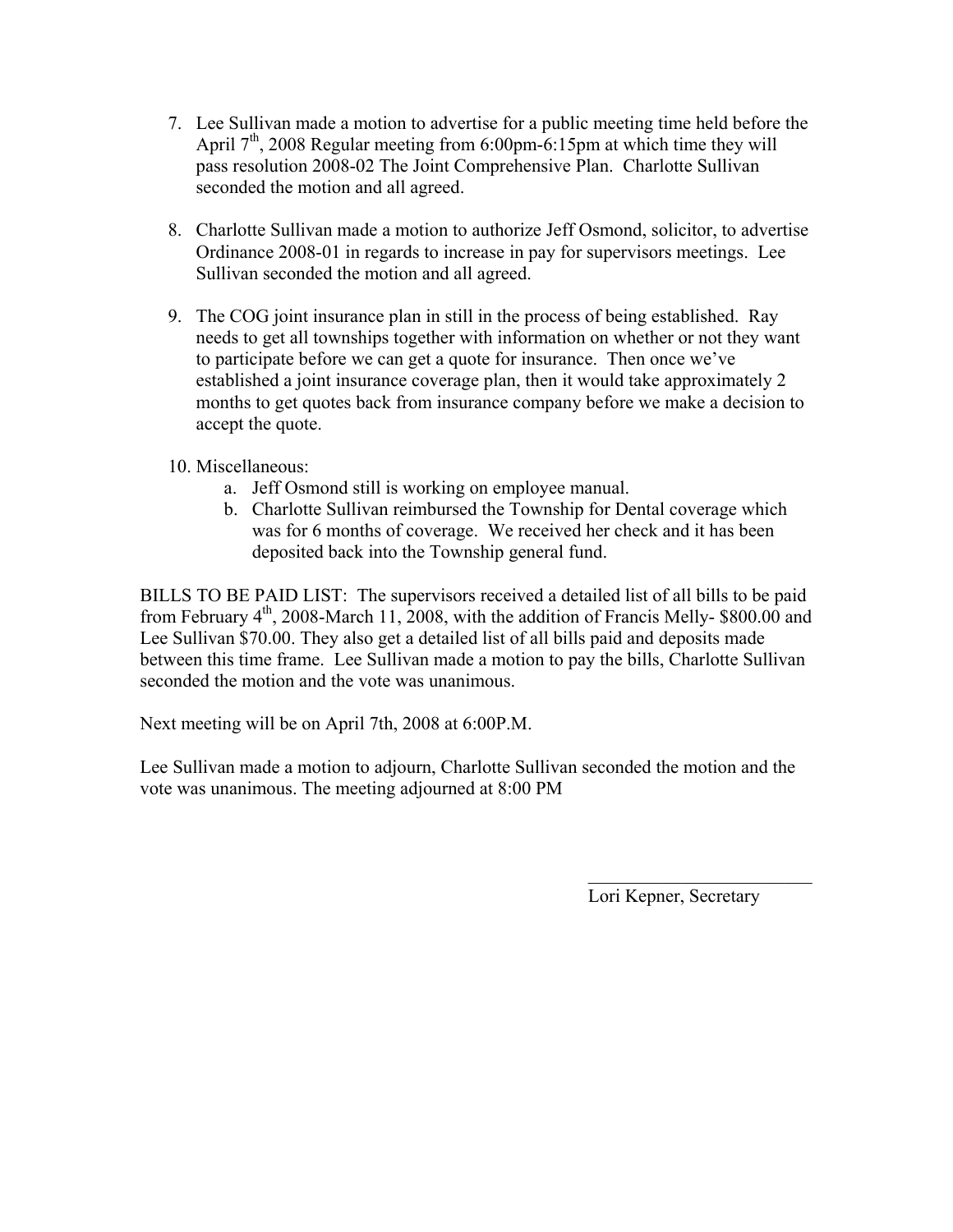- 7. Lee Sullivan made a motion to advertise for a public meeting time held before the April  $7<sup>th</sup>$ , 2008 Regular meeting from 6:00pm-6:15pm at which time they will pass resolution 2008-02 The Joint Comprehensive Plan. Charlotte Sullivan seconded the motion and all agreed.
- 8. Charlotte Sullivan made a motion to authorize Jeff Osmond, solicitor, to advertise Ordinance 2008-01 in regards to increase in pay for supervisors meetings. Lee Sullivan seconded the motion and all agreed.
- 9. The COG joint insurance plan in still in the process of being established. Ray needs to get all townships together with information on whether or not they want to participate before we can get a quote for insurance. Then once we've established a joint insurance coverage plan, then it would take approximately 2 months to get quotes back from insurance company before we make a decision to accept the quote.
- 10. Miscellaneous:
	- a. Jeff Osmond still is working on employee manual.
	- b. Charlotte Sullivan reimbursed the Township for Dental coverage which was for 6 months of coverage. We received her check and it has been deposited back into the Township general fund.

BILLS TO BE PAID LIST: The supervisors received a detailed list of all bills to be paid from February  $4<sup>th</sup>$ , 2008-March 11, 2008, with the addition of Francis Melly- \$800.00 and Lee Sullivan \$70.00. They also get a detailed list of all bills paid and deposits made between this time frame. Lee Sullivan made a motion to pay the bills, Charlotte Sullivan seconded the motion and the vote was unanimous.

Next meeting will be on April 7th, 2008 at 6:00P.M.

Lee Sullivan made a motion to adjourn, Charlotte Sullivan seconded the motion and the vote was unanimous. The meeting adjourned at 8:00 PM

 $\mathcal{L}_\text{max}$  and  $\mathcal{L}_\text{max}$  and  $\mathcal{L}_\text{max}$  are the contract of the contract of the contract of the contract of the contract of the contract of the contract of the contract of the contract of the contract of the con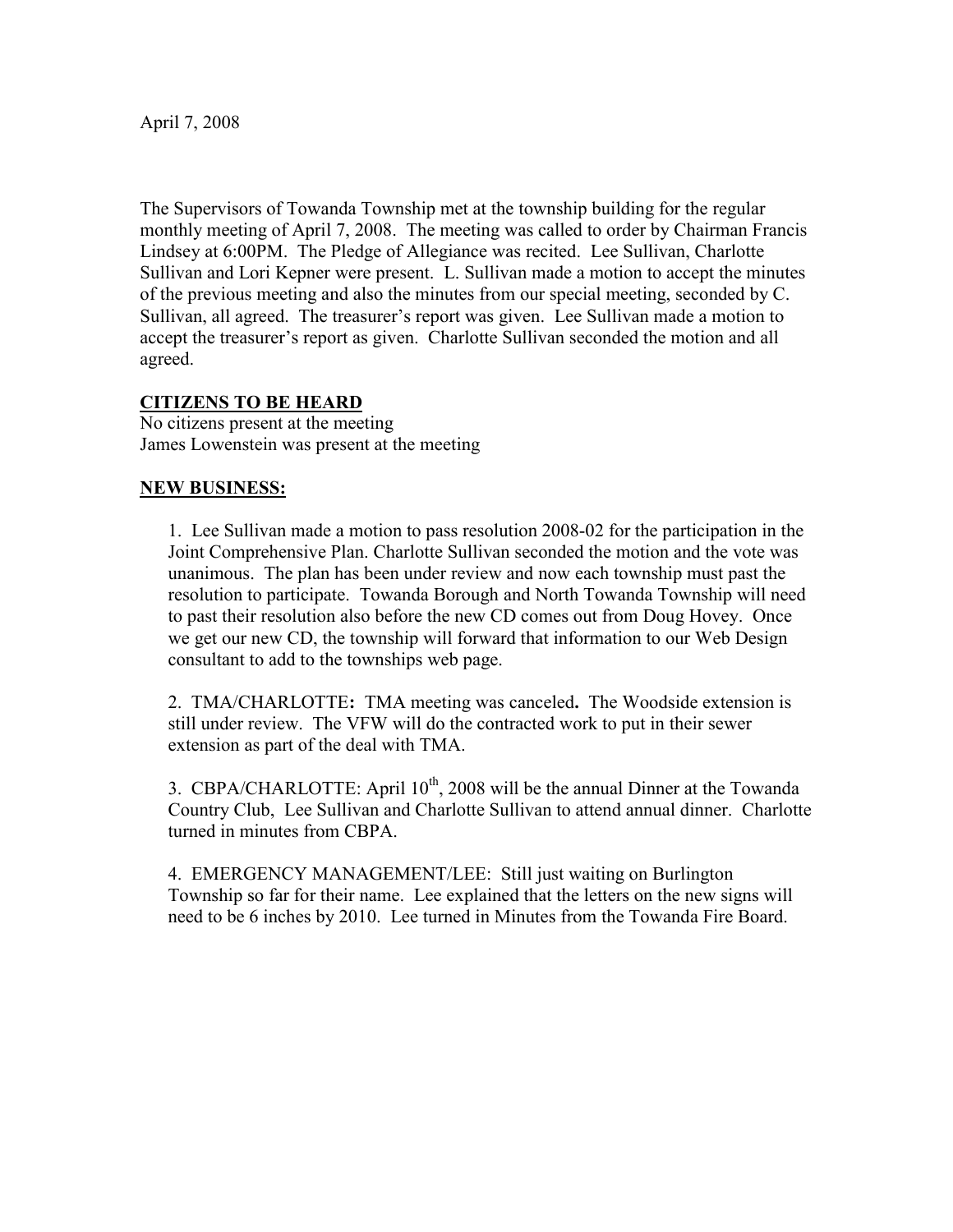April 7, 2008

The Supervisors of Towanda Township met at the township building for the regular monthly meeting of April 7, 2008. The meeting was called to order by Chairman Francis Lindsey at 6:00PM. The Pledge of Allegiance was recited. Lee Sullivan, Charlotte Sullivan and Lori Kepner were present. L. Sullivan made a motion to accept the minutes of the previous meeting and also the minutes from our special meeting, seconded by C. Sullivan, all agreed. The treasurer's report was given. Lee Sullivan made a motion to accept the treasurer's report as given. Charlotte Sullivan seconded the motion and all agreed.

## **CITIZENS TO BE HEARD**

No citizens present at the meeting James Lowenstein was present at the meeting

## **NEW BUSINESS:**

1. Lee Sullivan made a motion to pass resolution 2008-02 for the participation in the Joint Comprehensive Plan. Charlotte Sullivan seconded the motion and the vote was unanimous. The plan has been under review and now each township must past the resolution to participate. Towanda Borough and North Towanda Township will need to past their resolution also before the new CD comes out from Doug Hovey. Once we get our new CD, the township will forward that information to our Web Design consultant to add to the townships web page.

2.TMA/CHARLOTTE**:** TMA meeting was canceled**.** The Woodside extension is still under review. The VFW will do the contracted work to put in their sewer extension as part of the deal with TMA.

3. CBPA/CHARLOTTE: April 10<sup>th</sup>, 2008 will be the annual Dinner at the Towanda Country Club, Lee Sullivan and Charlotte Sullivan to attend annual dinner. Charlotte turned in minutes from CBPA.

4. EMERGENCY MANAGEMENT/LEE: Still just waiting on Burlington Township so far for their name. Lee explained that the letters on the new signs will need to be 6 inches by 2010. Lee turned in Minutes from the Towanda Fire Board.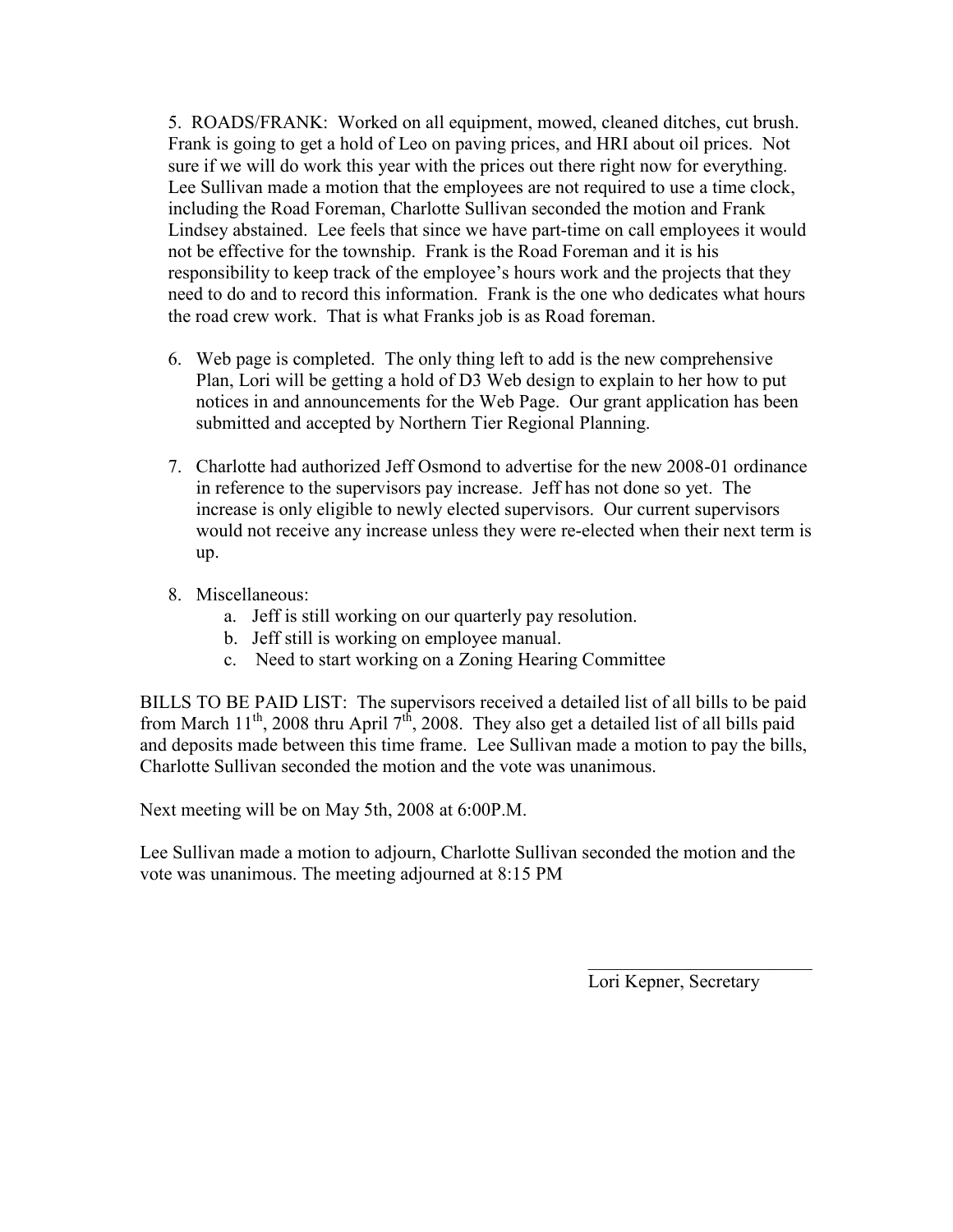5. ROADS/FRANK: Worked on all equipment, mowed, cleaned ditches, cut brush. Frank is going to get a hold of Leo on paving prices, and HRI about oil prices. Not sure if we will do work this year with the prices out there right now for everything. Lee Sullivan made a motion that the employees are not required to use a time clock, including the Road Foreman, Charlotte Sullivan seconded the motion and Frank Lindsey abstained. Lee feels that since we have part-time on call employees it would not be effective for the township. Frank is the Road Foreman and it is his responsibility to keep track of the employee's hours work and the projects that they need to do and to record this information. Frank is the one who dedicates what hours the road crew work. That is what Franks job is as Road foreman.

- 6. Web page is completed. The only thing left to add is the new comprehensive Plan, Lori will be getting a hold of D3 Web design to explain to her how to put notices in and announcements for the Web Page. Our grant application has been submitted and accepted by Northern Tier Regional Planning.
- 7. Charlotte had authorized Jeff Osmond to advertise for the new 2008-01 ordinance in reference to the supervisors pay increase. Jeff has not done so yet. The increase is only eligible to newly elected supervisors. Our current supervisors would not receive any increase unless they were re-elected when their next term is up.
- 8. Miscellaneous:
	- a. Jeff is still working on our quarterly pay resolution.
	- b. Jeff still is working on employee manual.
	- c. Need to start working on a Zoning Hearing Committee

BILLS TO BE PAID LIST: The supervisors received a detailed list of all bills to be paid from March 11<sup>th</sup>, 2008 thru April  $7<sup>th</sup>$ , 2008. They also get a detailed list of all bills paid and deposits made between this time frame. Lee Sullivan made a motion to pay the bills, Charlotte Sullivan seconded the motion and the vote was unanimous.

Next meeting will be on May 5th, 2008 at 6:00P.M.

Lee Sullivan made a motion to adjourn, Charlotte Sullivan seconded the motion and the vote was unanimous. The meeting adjourned at 8:15 PM

 $\mathcal{L}_\mathcal{L} = \{ \mathcal{L}_\mathcal{L} \mid \mathcal{L}_\mathcal{L} \in \mathcal{L}_\mathcal{L} \}$  , where  $\mathcal{L}_\mathcal{L} = \{ \mathcal{L}_\mathcal{L} \mid \mathcal{L}_\mathcal{L} \in \mathcal{L}_\mathcal{L} \}$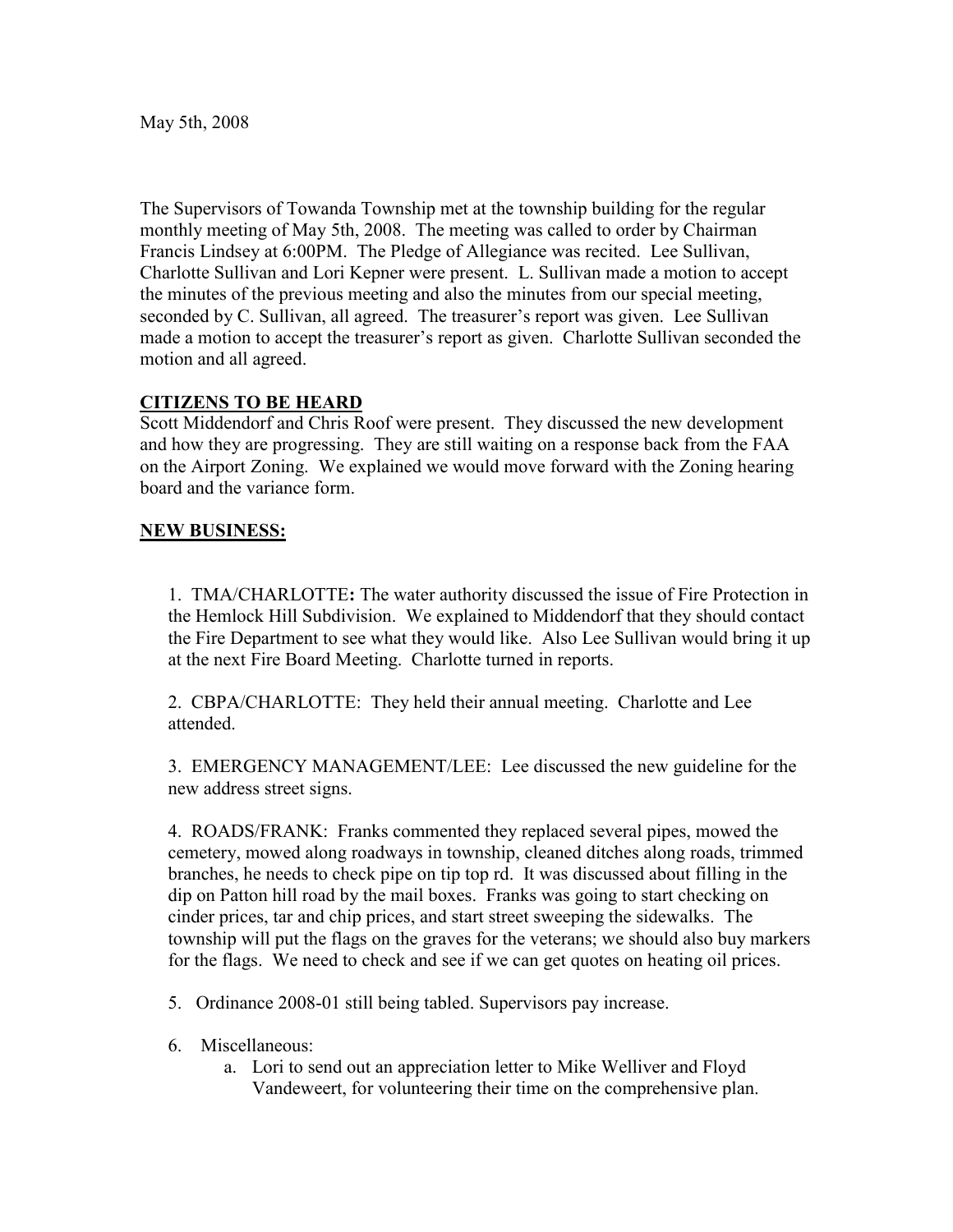The Supervisors of Towanda Township met at the township building for the regular monthly meeting of May 5th, 2008. The meeting was called to order by Chairman Francis Lindsey at 6:00PM. The Pledge of Allegiance was recited. Lee Sullivan, Charlotte Sullivan and Lori Kepner were present. L. Sullivan made a motion to accept the minutes of the previous meeting and also the minutes from our special meeting, seconded by C. Sullivan, all agreed. The treasurer's report was given. Lee Sullivan made a motion to accept the treasurer's report as given. Charlotte Sullivan seconded the motion and all agreed.

## **CITIZENS TO BE HEARD**

Scott Middendorf and Chris Roof were present. They discussed the new development and how they are progressing. They are still waiting on a response back from the FAA on the Airport Zoning. We explained we would move forward with the Zoning hearing board and the variance form.

## **NEW BUSINESS:**

1.TMA/CHARLOTTE**:** The water authority discussed the issue of Fire Protection in the Hemlock Hill Subdivision. We explained to Middendorf that they should contact the Fire Department to see what they would like. Also Lee Sullivan would bring it up at the next Fire Board Meeting. Charlotte turned in reports.

2.CBPA/CHARLOTTE: They held their annual meeting. Charlotte and Lee attended.

3. EMERGENCY MANAGEMENT/LEE: Lee discussed the new guideline for the new address street signs.

4. ROADS/FRANK: Franks commented they replaced several pipes, mowed the cemetery, mowed along roadways in township, cleaned ditches along roads, trimmed branches, he needs to check pipe on tip top rd. It was discussed about filling in the dip on Patton hill road by the mail boxes. Franks was going to start checking on cinder prices, tar and chip prices, and start street sweeping the sidewalks. The township will put the flags on the graves for the veterans; we should also buy markers for the flags. We need to check and see if we can get quotes on heating oil prices.

5. Ordinance 2008-01 still being tabled. Supervisors pay increase.

- 6. Miscellaneous:
	- a. Lori to send out an appreciation letter to Mike Welliver and Floyd Vandeweert, for volunteering their time on the comprehensive plan.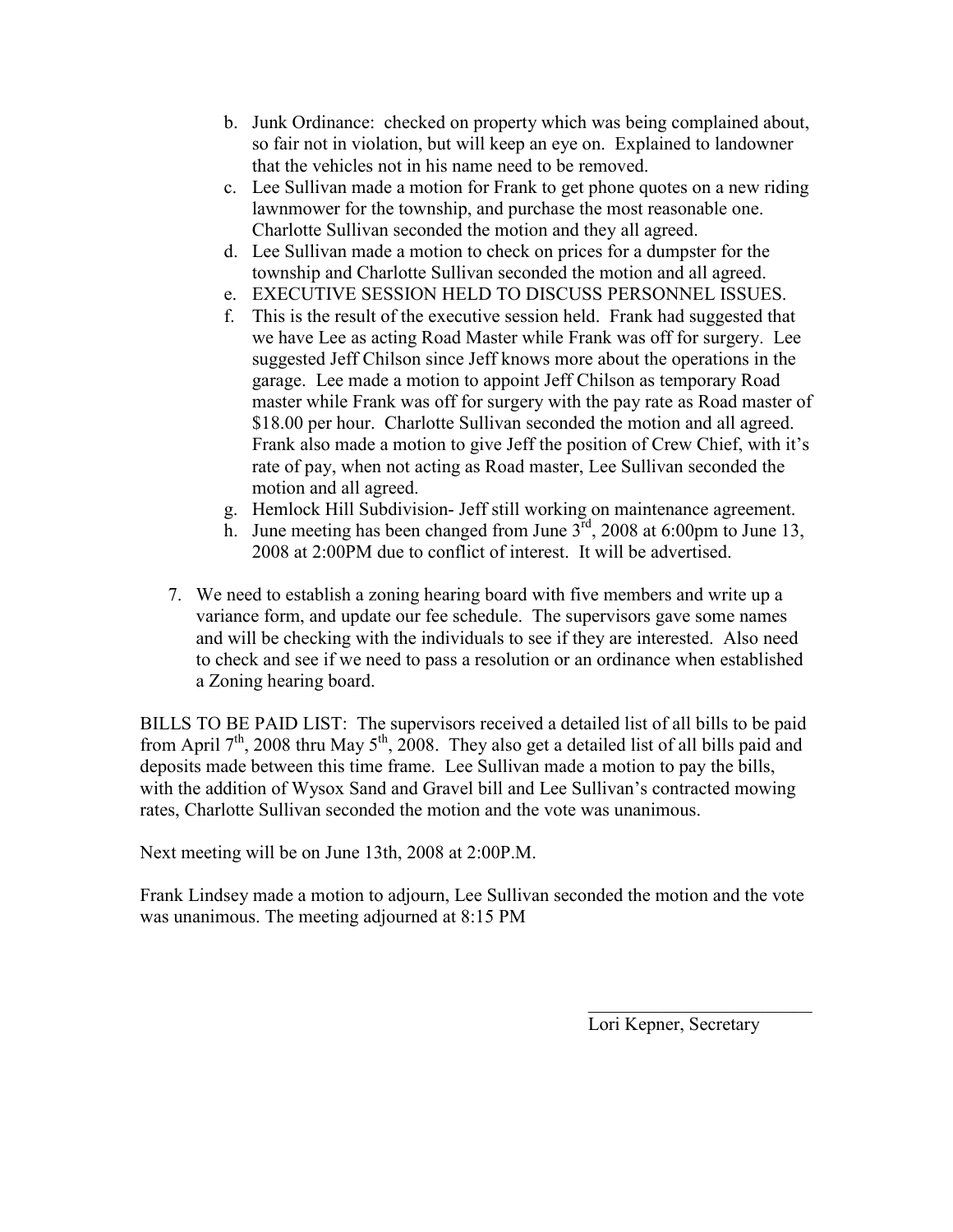- b. Junk Ordinance: checked on property which was being complained about, so fair not in violation, but will keep an eye on. Explained to landowner that the vehicles not in his name need to be removed.
- c. Lee Sullivan made a motion for Frank to get phone quotes on a new riding lawnmower for the township, and purchase the most reasonable one. Charlotte Sullivan seconded the motion and they all agreed.
- d. Lee Sullivan made a motion to check on prices for a dumpster for the township and Charlotte Sullivan seconded the motion and all agreed.
- e. EXECUTIVE SESSION HELD TO DISCUSS PERSONNEL ISSUES.
- f. This is the result of the executive session held. Frank had suggested that we have Lee as acting Road Master while Frank was off for surgery. Lee suggested Jeff Chilson since Jeff knows more about the operations in the garage. Lee made a motion to appoint Jeff Chilson as temporary Road master while Frank was off for surgery with the pay rate as Road master of \$18.00 per hour. Charlotte Sullivan seconded the motion and all agreed. Frank also made a motion to give Jeff the position of Crew Chief, with it's rate of pay, when not acting as Road master, Lee Sullivan seconded the motion and all agreed.
- g. Hemlock Hill Subdivision- Jeff still working on maintenance agreement.
- h. June meeting has been changed from June  $3<sup>rd</sup>$ , 2008 at 6:00pm to June 13, 2008 at 2:00PM due to conflict of interest. It will be advertised.
- 7. We need to establish a zoning hearing board with five members and write up a variance form, and update our fee schedule. The supervisors gave some names and will be checking with the individuals to see if they are interested. Also need to check and see if we need to pass a resolution or an ordinance when established a Zoning hearing board.

BILLS TO BE PAID LIST: The supervisors received a detailed list of all bills to be paid from April  $7<sup>th</sup>$ , 2008 thru May  $5<sup>th</sup>$ , 2008. They also get a detailed list of all bills paid and deposits made between this time frame. Lee Sullivan made a motion to pay the bills, with the addition of Wysox Sand and Gravel bill and Lee Sullivan's contracted mowing rates, Charlotte Sullivan seconded the motion and the vote was unanimous.

Next meeting will be on June 13th, 2008 at 2:00P.M.

Frank Lindsey made a motion to adjourn, Lee Sullivan seconded the motion and the vote was unanimous. The meeting adjourned at 8:15 PM

 $\mathcal{L}_\text{max}$  and  $\mathcal{L}_\text{max}$  and  $\mathcal{L}_\text{max}$  are the contract of  $\mathcal{L}_\text{max}$  and  $\mathcal{L}_\text{max}$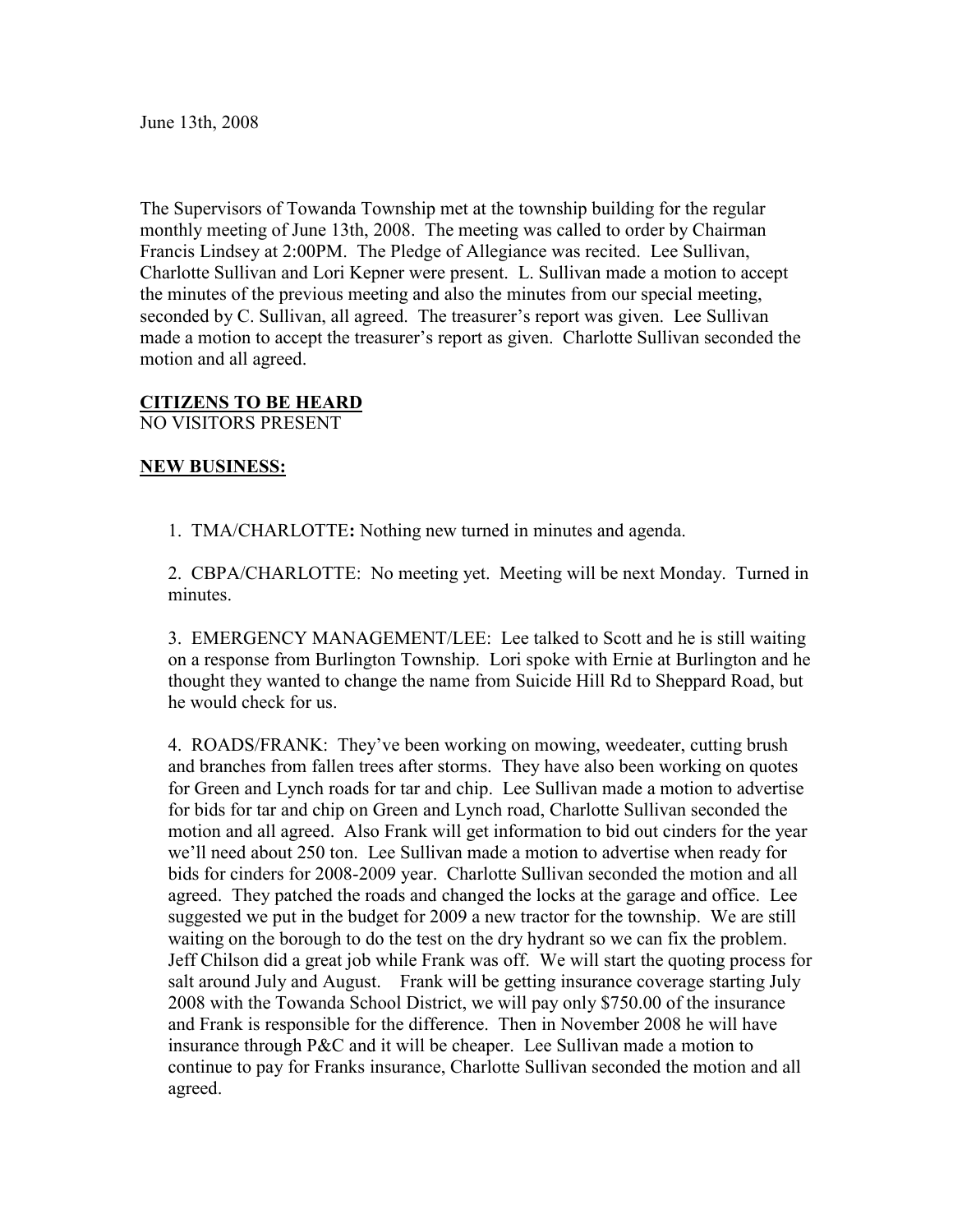The Supervisors of Towanda Township met at the township building for the regular monthly meeting of June 13th, 2008. The meeting was called to order by Chairman Francis Lindsey at 2:00PM. The Pledge of Allegiance was recited. Lee Sullivan, Charlotte Sullivan and Lori Kepner were present. L. Sullivan made a motion to accept the minutes of the previous meeting and also the minutes from our special meeting, seconded by C. Sullivan, all agreed. The treasurer's report was given. Lee Sullivan made a motion to accept the treasurer's report as given. Charlotte Sullivan seconded the motion and all agreed.

#### **CITIZENS TO BE HEARD**

NO VISITORS PRESENT

#### **NEW BUSINESS:**

1.TMA/CHARLOTTE**:** Nothing new turned in minutes and agenda.

2.CBPA/CHARLOTTE: No meeting yet. Meeting will be next Monday. Turned in minutes.

3. EMERGENCY MANAGEMENT/LEE: Lee talked to Scott and he is still waiting on a response from Burlington Township. Lori spoke with Ernie at Burlington and he thought they wanted to change the name from Suicide Hill Rd to Sheppard Road, but he would check for us.

4. ROADS/FRANK: They've been working on mowing, weedeater, cutting brush and branches from fallen trees after storms. They have also been working on quotes for Green and Lynch roads for tar and chip. Lee Sullivan made a motion to advertise for bids for tar and chip on Green and Lynch road, Charlotte Sullivan seconded the motion and all agreed. Also Frank will get information to bid out cinders for the year we'll need about 250 ton. Lee Sullivan made a motion to advertise when ready for bids for cinders for 2008-2009 year. Charlotte Sullivan seconded the motion and all agreed. They patched the roads and changed the locks at the garage and office. Lee suggested we put in the budget for 2009 a new tractor for the township. We are still waiting on the borough to do the test on the dry hydrant so we can fix the problem. Jeff Chilson did a great job while Frank was off. We will start the quoting process for salt around July and August. Frank will be getting insurance coverage starting July 2008 with the Towanda School District, we will pay only \$750.00 of the insurance and Frank is responsible for the difference. Then in November 2008 he will have insurance through P&C and it will be cheaper. Lee Sullivan made a motion to continue to pay for Franks insurance, Charlotte Sullivan seconded the motion and all agreed.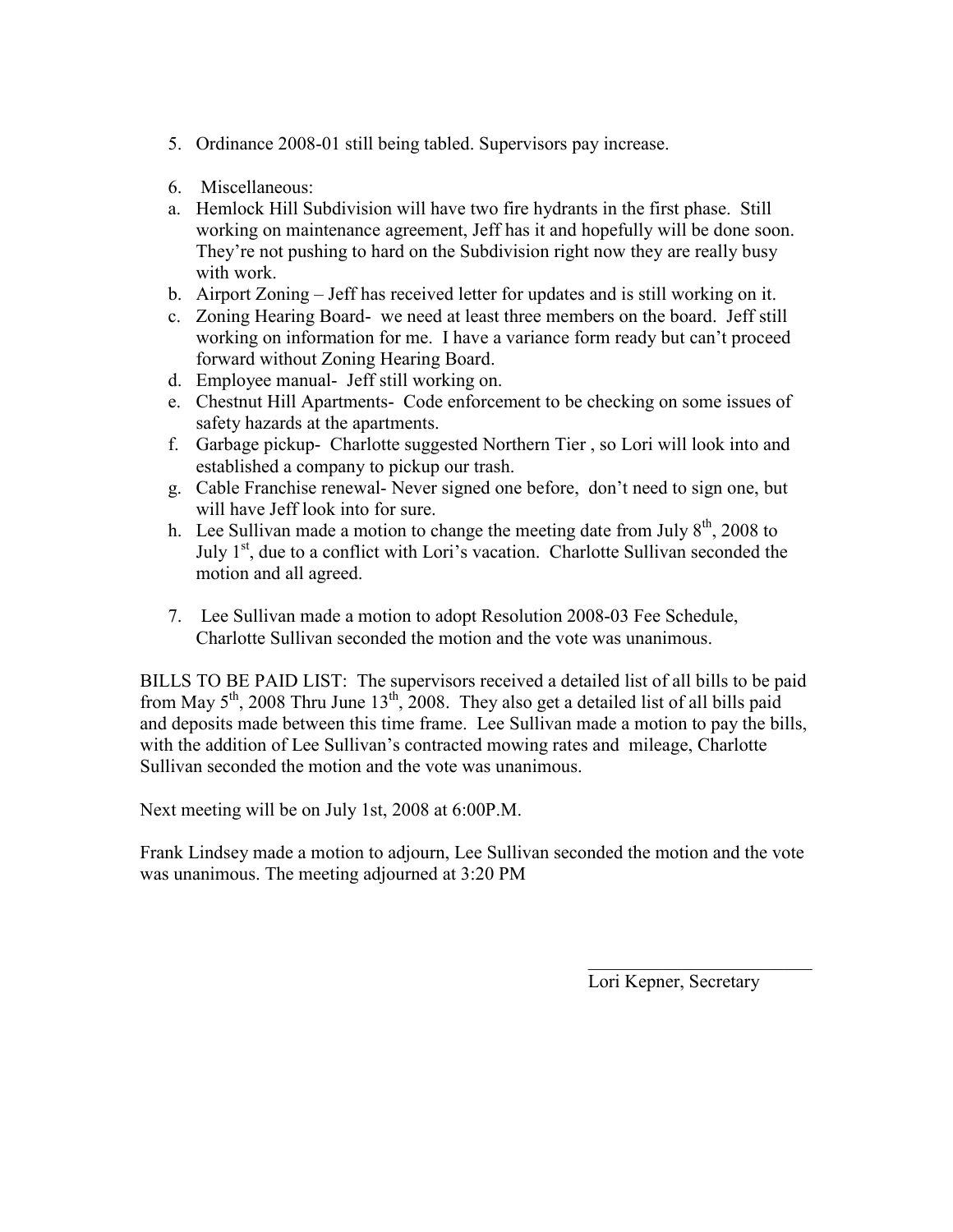- 5. Ordinance 2008-01 still being tabled. Supervisors pay increase.
- 6. Miscellaneous:
- a. Hemlock Hill Subdivision will have two fire hydrants in the first phase. Still working on maintenance agreement, Jeff has it and hopefully will be done soon. They're not pushing to hard on the Subdivision right now they are really busy with work.
- b. Airport Zoning Jeff has received letter for updates and is still working on it.
- c. Zoning Hearing Board- we need at least three members on the board. Jeff still working on information for me. I have a variance form ready but can't proceed forward without Zoning Hearing Board.
- d. Employee manual- Jeff still working on.
- e. Chestnut Hill Apartments- Code enforcement to be checking on some issues of safety hazards at the apartments.
- f. Garbage pickup- Charlotte suggested Northern Tier , so Lori will look into and established a company to pickup our trash.
- g. Cable Franchise renewal- Never signed one before, don't need to sign one, but will have Jeff look into for sure.
- h. Lee Sullivan made a motion to change the meeting date from July  $8<sup>th</sup>$ , 2008 to July  $1<sup>st</sup>$ , due to a conflict with Lori's vacation. Charlotte Sullivan seconded the motion and all agreed.
- 7. Lee Sullivan made a motion to adopt Resolution 2008-03 Fee Schedule, Charlotte Sullivan seconded the motion and the vote was unanimous.

BILLS TO BE PAID LIST: The supervisors received a detailed list of all bills to be paid from May  $5<sup>th</sup>$ , 2008 Thru June 13<sup>th</sup>, 2008. They also get a detailed list of all bills paid and deposits made between this time frame. Lee Sullivan made a motion to pay the bills, with the addition of Lee Sullivan's contracted mowing rates and mileage, Charlotte Sullivan seconded the motion and the vote was unanimous.

Next meeting will be on July 1st, 2008 at 6:00P.M.

Frank Lindsey made a motion to adjourn, Lee Sullivan seconded the motion and the vote was unanimous. The meeting adjourned at 3:20 PM

 $\mathcal{L}_\mathcal{L} = \{ \mathcal{L}_\mathcal{L} \mid \mathcal{L}_\mathcal{L} \in \mathcal{L}_\mathcal{L} \}$  , where  $\mathcal{L}_\mathcal{L} = \{ \mathcal{L}_\mathcal{L} \mid \mathcal{L}_\mathcal{L} \in \mathcal{L}_\mathcal{L} \}$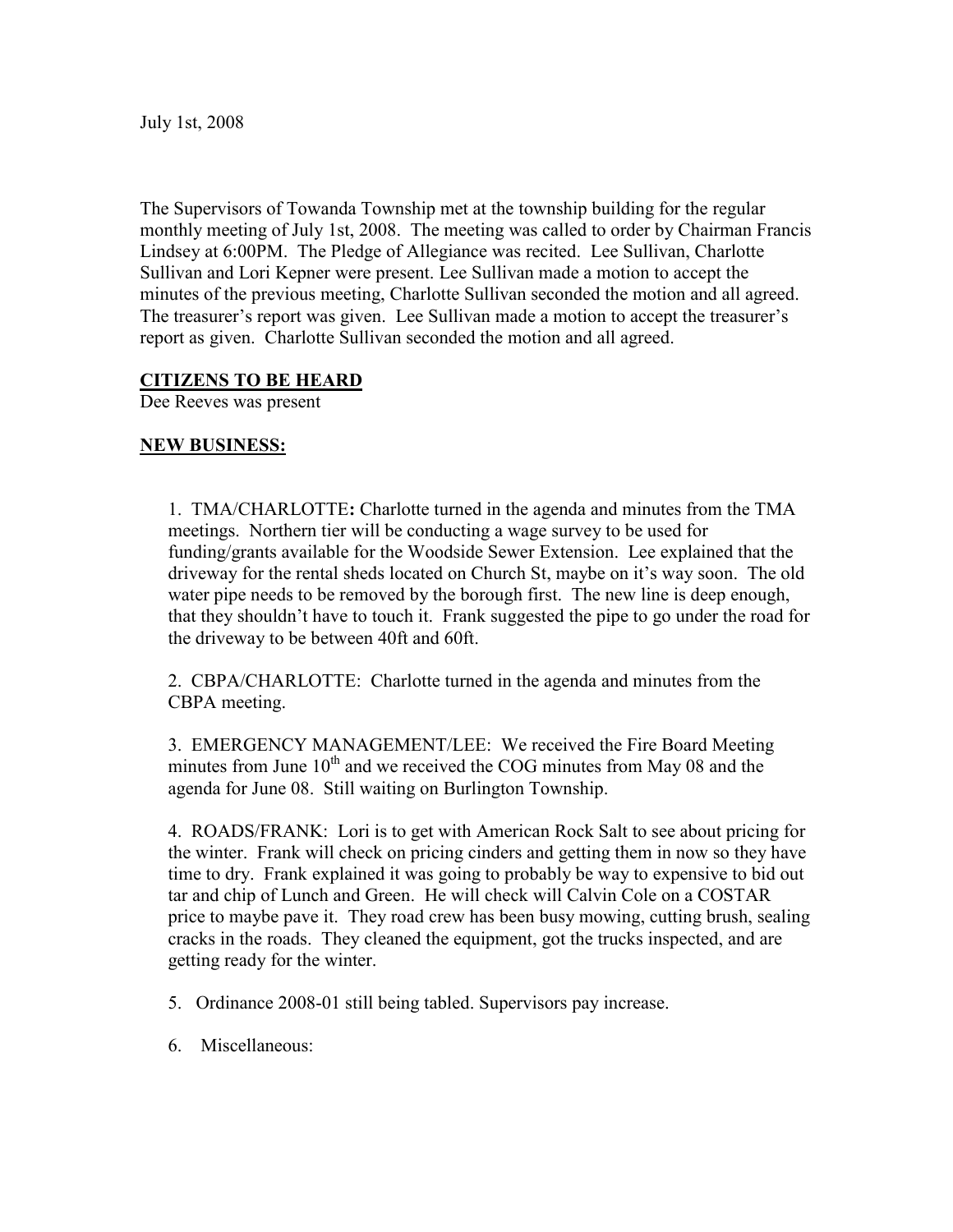July 1st, 2008

The Supervisors of Towanda Township met at the township building for the regular monthly meeting of July 1st, 2008. The meeting was called to order by Chairman Francis Lindsey at 6:00PM. The Pledge of Allegiance was recited. Lee Sullivan, Charlotte Sullivan and Lori Kepner were present. Lee Sullivan made a motion to accept the minutes of the previous meeting, Charlotte Sullivan seconded the motion and all agreed. The treasurer's report was given. Lee Sullivan made a motion to accept the treasurer's report as given. Charlotte Sullivan seconded the motion and all agreed.

#### **CITIZENS TO BE HEARD**

Dee Reeves was present

#### **NEW BUSINESS:**

1.TMA/CHARLOTTE**:** Charlotte turned in the agenda and minutes from the TMA meetings. Northern tier will be conducting a wage survey to be used for funding/grants available for the Woodside Sewer Extension. Lee explained that the driveway for the rental sheds located on Church St, maybe on it's way soon. The old water pipe needs to be removed by the borough first. The new line is deep enough, that they shouldn't have to touch it. Frank suggested the pipe to go under the road for the driveway to be between 40ft and 60ft.

2.CBPA/CHARLOTTE: Charlotte turned in the agenda and minutes from the CBPA meeting.

3. EMERGENCY MANAGEMENT/LEE: We received the Fire Board Meeting minutes from June  $10<sup>th</sup>$  and we received the COG minutes from May 08 and the agenda for June 08. Still waiting on Burlington Township.

4. ROADS/FRANK: Lori is to get with American Rock Salt to see about pricing for the winter. Frank will check on pricing cinders and getting them in now so they have time to dry. Frank explained it was going to probably be way to expensive to bid out tar and chip of Lunch and Green. He will check will Calvin Cole on a COSTAR price to maybe pave it. They road crew has been busy mowing, cutting brush, sealing cracks in the roads. They cleaned the equipment, got the trucks inspected, and are getting ready for the winter.

5. Ordinance 2008-01 still being tabled. Supervisors pay increase.

6. Miscellaneous: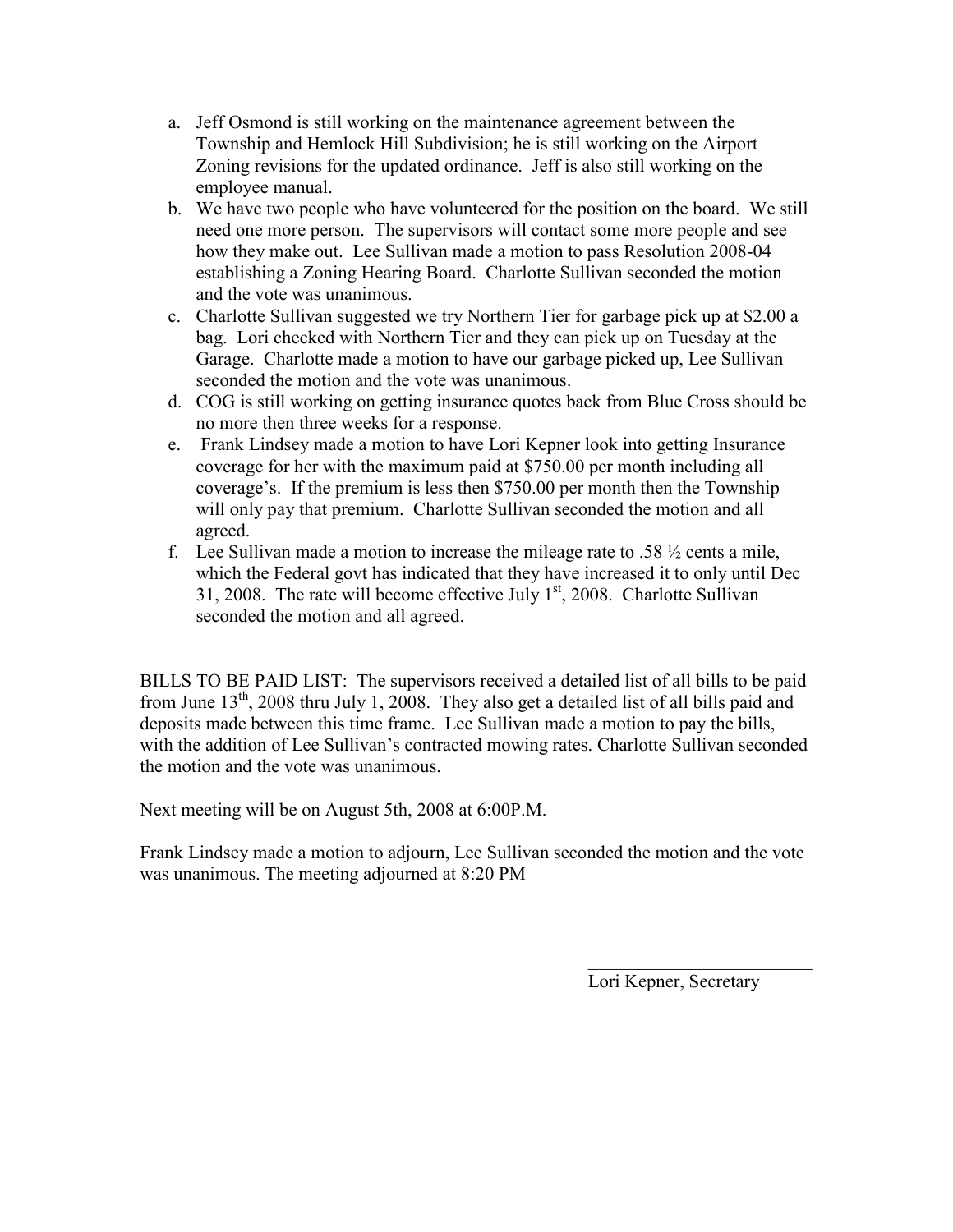- a. Jeff Osmond is still working on the maintenance agreement between the Township and Hemlock Hill Subdivision; he is still working on the Airport Zoning revisions for the updated ordinance. Jeff is also still working on the employee manual.
- b. We have two people who have volunteered for the position on the board. We still need one more person. The supervisors will contact some more people and see how they make out. Lee Sullivan made a motion to pass Resolution 2008-04 establishing a Zoning Hearing Board. Charlotte Sullivan seconded the motion and the vote was unanimous.
- c. Charlotte Sullivan suggested we try Northern Tier for garbage pick up at \$2.00 a bag. Lori checked with Northern Tier and they can pick up on Tuesday at the Garage. Charlotte made a motion to have our garbage picked up, Lee Sullivan seconded the motion and the vote was unanimous.
- d. COG is still working on getting insurance quotes back from Blue Cross should be no more then three weeks for a response.
- e. Frank Lindsey made a motion to have Lori Kepner look into getting Insurance coverage for her with the maximum paid at \$750.00 per month including all coverage's. If the premium is less then \$750.00 per month then the Township will only pay that premium. Charlotte Sullivan seconded the motion and all agreed.
- f. Lee Sullivan made a motion to increase the mileage rate to .58  $\frac{1}{2}$  cents a mile, which the Federal govt has indicated that they have increased it to only until Dec 31, 2008. The rate will become effective July  $1<sup>st</sup>$ , 2008. Charlotte Sullivan seconded the motion and all agreed.

BILLS TO BE PAID LIST: The supervisors received a detailed list of all bills to be paid from June  $13<sup>th</sup>$ , 2008 thru July 1, 2008. They also get a detailed list of all bills paid and deposits made between this time frame. Lee Sullivan made a motion to pay the bills, with the addition of Lee Sullivan's contracted mowing rates. Charlotte Sullivan seconded the motion and the vote was unanimous.

Next meeting will be on August 5th, 2008 at 6:00P.M.

Frank Lindsey made a motion to adjourn, Lee Sullivan seconded the motion and the vote was unanimous. The meeting adjourned at 8:20 PM

 $\mathcal{L}_\text{max}$  , which is a set of the set of the set of the set of the set of the set of the set of the set of the set of the set of the set of the set of the set of the set of the set of the set of the set of the set of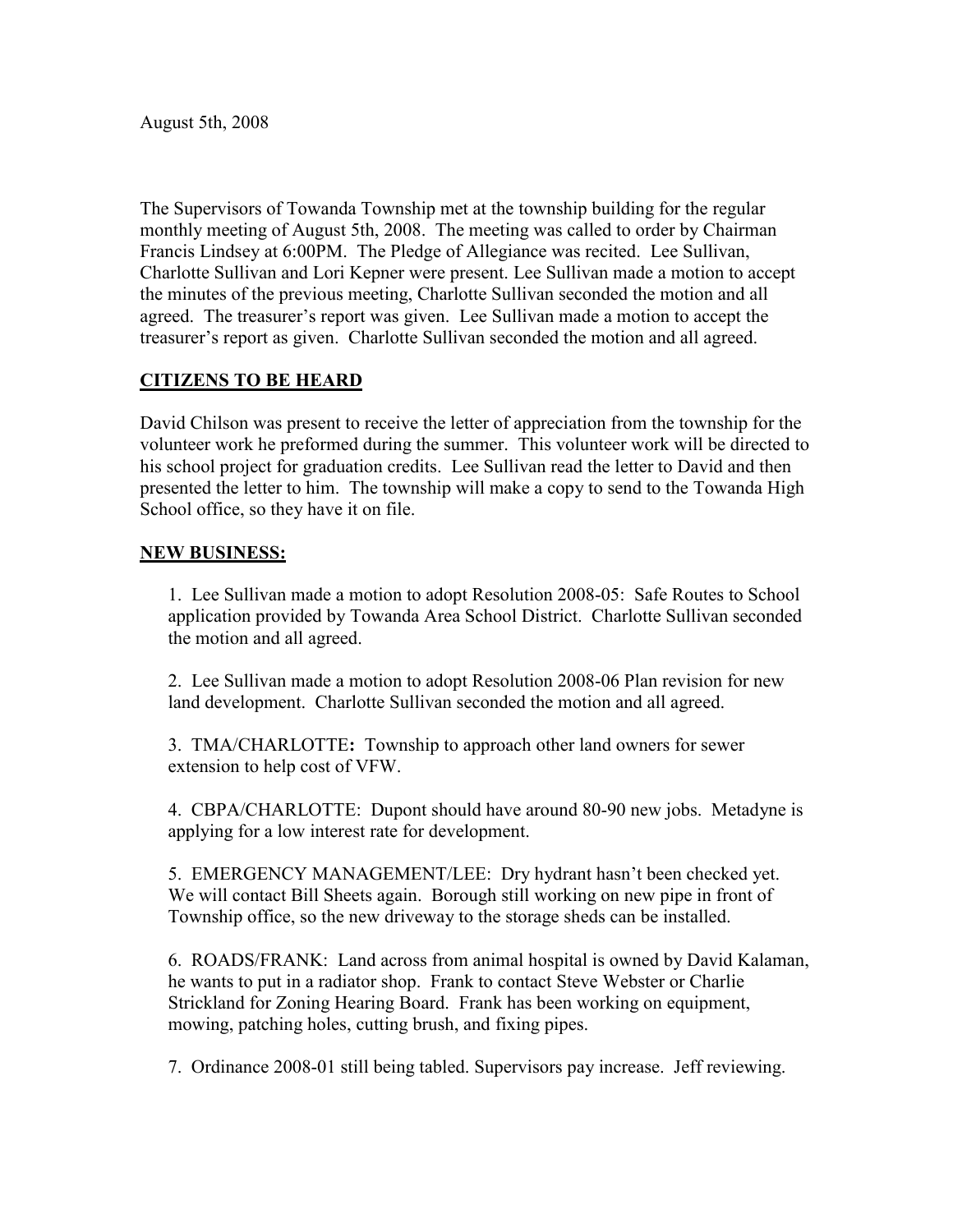The Supervisors of Towanda Township met at the township building for the regular monthly meeting of August 5th, 2008. The meeting was called to order by Chairman Francis Lindsey at 6:00PM. The Pledge of Allegiance was recited. Lee Sullivan, Charlotte Sullivan and Lori Kepner were present. Lee Sullivan made a motion to accept the minutes of the previous meeting, Charlotte Sullivan seconded the motion and all agreed. The treasurer's report was given. Lee Sullivan made a motion to accept the treasurer's report as given. Charlotte Sullivan seconded the motion and all agreed.

## **CITIZENS TO BE HEARD**

David Chilson was present to receive the letter of appreciation from the township for the volunteer work he preformed during the summer. This volunteer work will be directed to his school project for graduation credits. Lee Sullivan read the letter to David and then presented the letter to him. The township will make a copy to send to the Towanda High School office, so they have it on file.

## **NEW BUSINESS:**

1. Lee Sullivan made a motion to adopt Resolution 2008-05: Safe Routes to School application provided by Towanda Area School District. Charlotte Sullivan seconded the motion and all agreed.

2. Lee Sullivan made a motion to adopt Resolution 2008-06 Plan revision for new land development. Charlotte Sullivan seconded the motion and all agreed.

3.TMA/CHARLOTTE**:** Township to approach other land owners for sewer extension to help cost of VFW.

4.CBPA/CHARLOTTE: Dupont should have around 80-90 new jobs. Metadyne is applying for a low interest rate for development.

5. EMERGENCY MANAGEMENT/LEE: Dry hydrant hasn't been checked yet. We will contact Bill Sheets again. Borough still working on new pipe in front of Township office, so the new driveway to the storage sheds can be installed.

6. ROADS/FRANK: Land across from animal hospital is owned by David Kalaman, he wants to put in a radiator shop. Frank to contact Steve Webster or Charlie Strickland for Zoning Hearing Board. Frank has been working on equipment, mowing, patching holes, cutting brush, and fixing pipes.

7. Ordinance 2008-01 still being tabled. Supervisors pay increase. Jeff reviewing.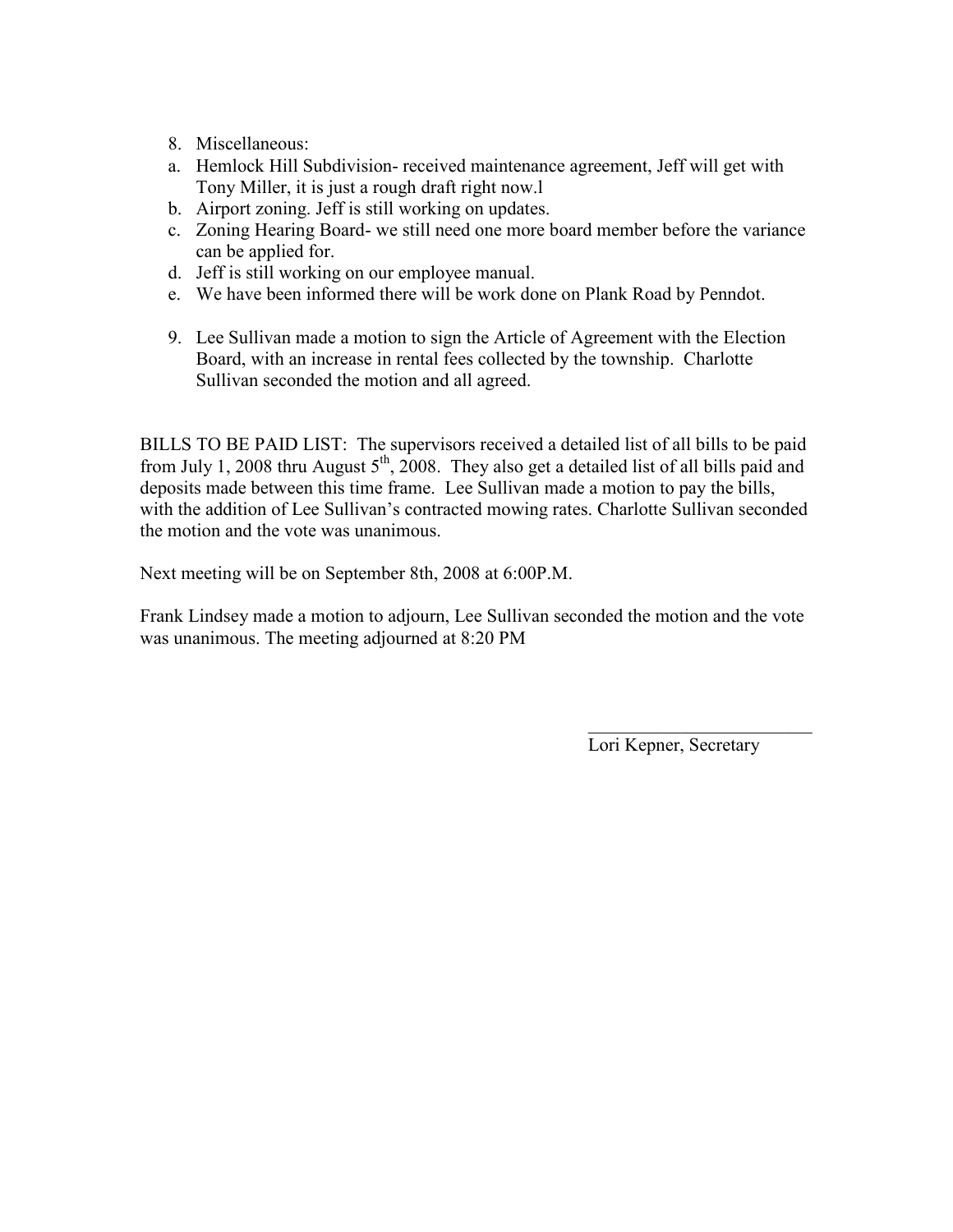- 8. Miscellaneous:
- a. Hemlock Hill Subdivision- received maintenance agreement, Jeff will get with Tony Miller, it is just a rough draft right now.l
- b. Airport zoning. Jeff is still working on updates.
- c. Zoning Hearing Board- we still need one more board member before the variance can be applied for.
- d. Jeff is still working on our employee manual.
- e. We have been informed there will be work done on Plank Road by Penndot.
- 9. Lee Sullivan made a motion to sign the Article of Agreement with the Election Board, with an increase in rental fees collected by the township. Charlotte Sullivan seconded the motion and all agreed.

BILLS TO BE PAID LIST: The supervisors received a detailed list of all bills to be paid from July 1, 2008 thru August  $5<sup>th</sup>$ , 2008. They also get a detailed list of all bills paid and deposits made between this time frame. Lee Sullivan made a motion to pay the bills, with the addition of Lee Sullivan's contracted mowing rates. Charlotte Sullivan seconded the motion and the vote was unanimous.

Next meeting will be on September 8th, 2008 at 6:00P.M.

Frank Lindsey made a motion to adjourn, Lee Sullivan seconded the motion and the vote was unanimous. The meeting adjourned at 8:20 PM

 $\mathcal{L}_\text{max}$  , which is a set of the set of the set of the set of the set of the set of the set of the set of the set of the set of the set of the set of the set of the set of the set of the set of the set of the set of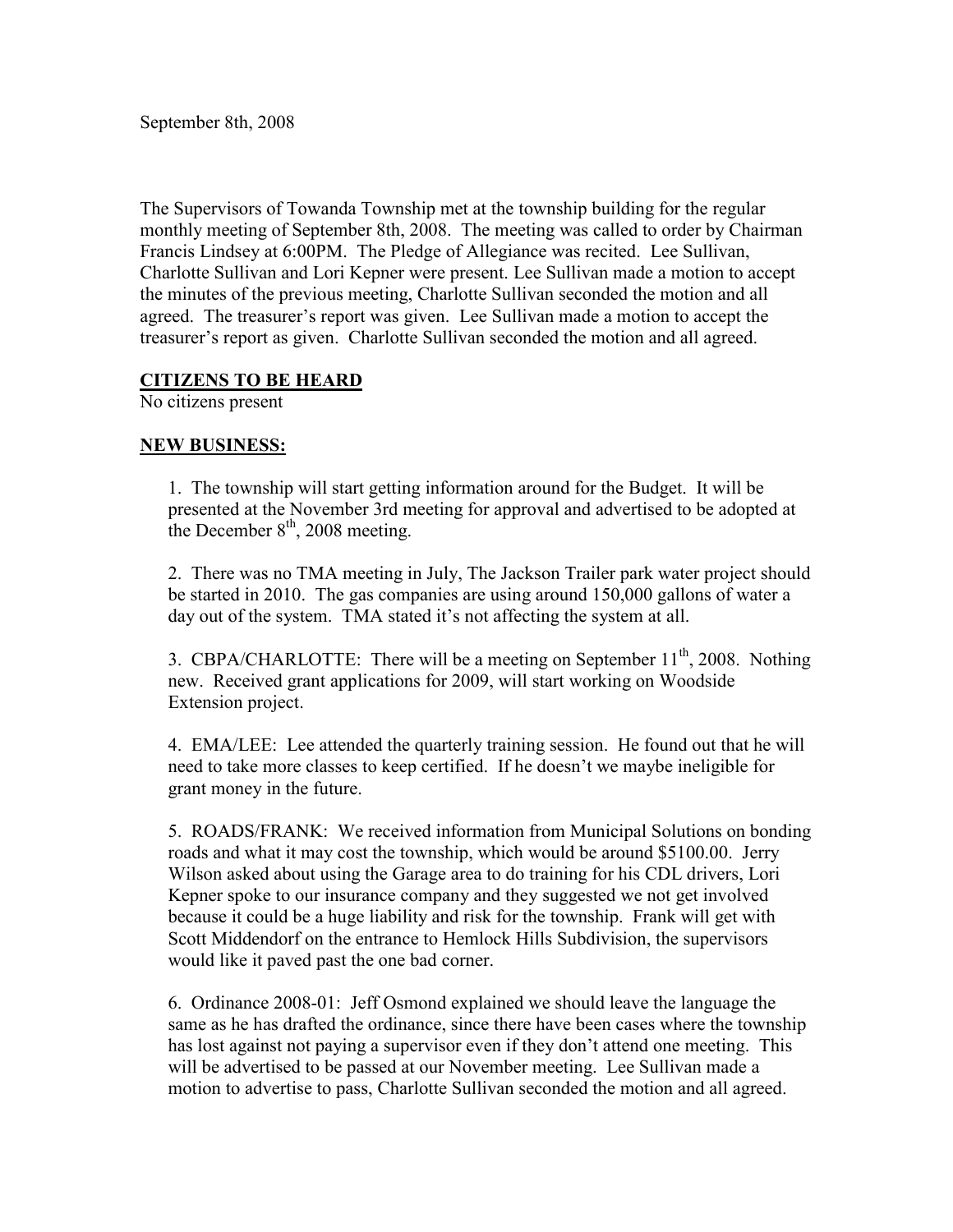September 8th, 2008

The Supervisors of Towanda Township met at the township building for the regular monthly meeting of September 8th, 2008. The meeting was called to order by Chairman Francis Lindsey at 6:00PM. The Pledge of Allegiance was recited. Lee Sullivan, Charlotte Sullivan and Lori Kepner were present. Lee Sullivan made a motion to accept the minutes of the previous meeting, Charlotte Sullivan seconded the motion and all agreed. The treasurer's report was given. Lee Sullivan made a motion to accept the treasurer's report as given. Charlotte Sullivan seconded the motion and all agreed.

#### **CITIZENS TO BE HEARD**

No citizens present

#### **NEW BUSINESS:**

1. The township will start getting information around for the Budget. It will be presented at the November 3rd meeting for approval and advertised to be adopted at the December  $8<sup>th</sup>$ , 2008 meeting.

2. There was no TMA meeting in July, The Jackson Trailer park water project should be started in 2010. The gas companies are using around 150,000 gallons of water a day out of the system. TMA stated it's not affecting the system at all.

3. CBPA/CHARLOTTE: There will be a meeting on September  $11<sup>th</sup>$ , 2008. Nothing new. Received grant applications for 2009, will start working on Woodside Extension project.

4. EMA/LEE: Lee attended the quarterly training session. He found out that he will need to take more classes to keep certified. If he doesn't we maybe ineligible for grant money in the future.

5. ROADS/FRANK: We received information from Municipal Solutions on bonding roads and what it may cost the township, which would be around \$5100.00. Jerry Wilson asked about using the Garage area to do training for his CDL drivers, Lori Kepner spoke to our insurance company and they suggested we not get involved because it could be a huge liability and risk for the township. Frank will get with Scott Middendorf on the entrance to Hemlock Hills Subdivision, the supervisors would like it paved past the one bad corner.

6. Ordinance 2008-01: Jeff Osmond explained we should leave the language the same as he has drafted the ordinance, since there have been cases where the township has lost against not paying a supervisor even if they don't attend one meeting. This will be advertised to be passed at our November meeting. Lee Sullivan made a motion to advertise to pass, Charlotte Sullivan seconded the motion and all agreed.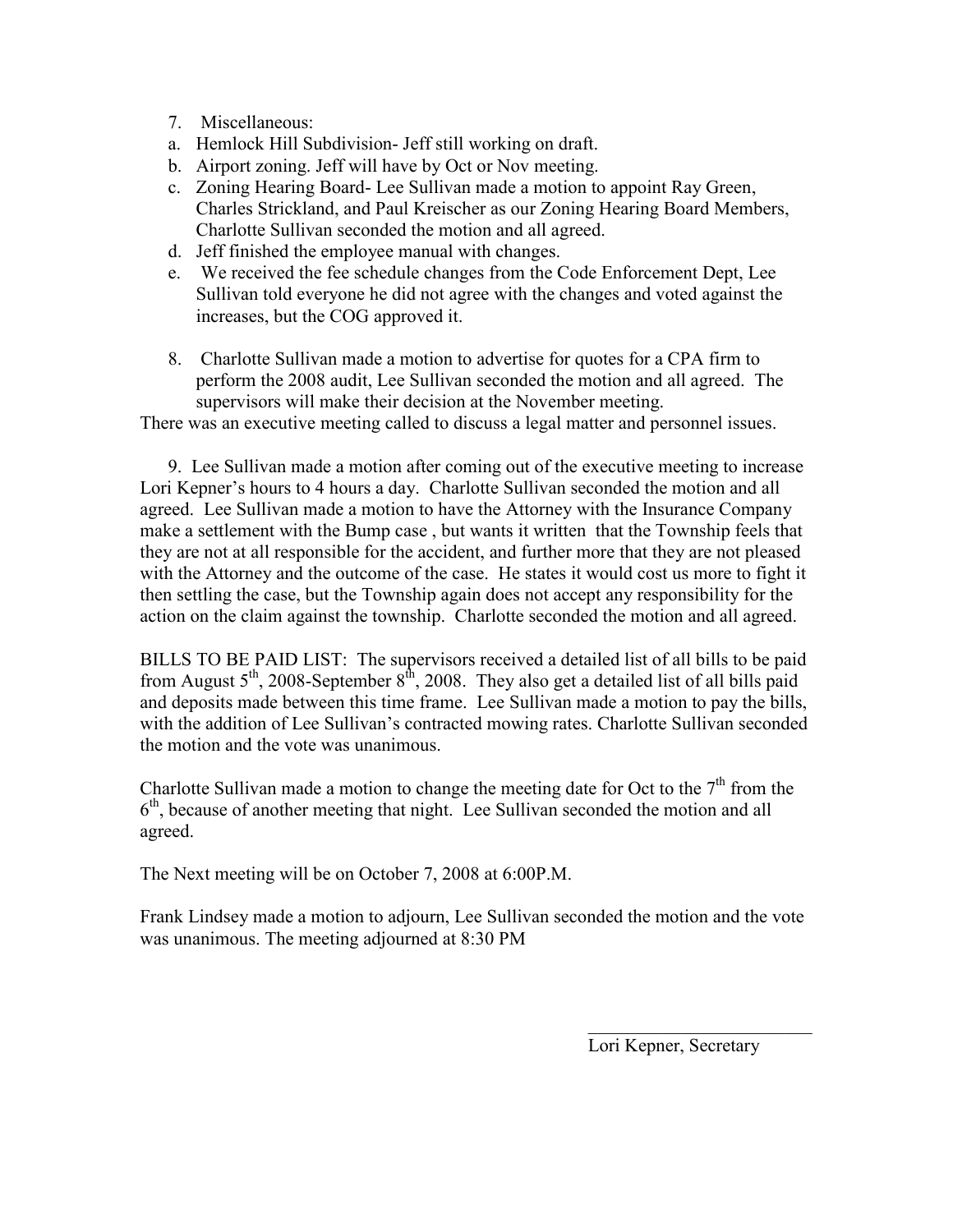- 7. Miscellaneous:
- a. Hemlock Hill Subdivision- Jeff still working on draft.
- b. Airport zoning. Jeff will have by Oct or Nov meeting.
- c. Zoning Hearing Board- Lee Sullivan made a motion to appoint Ray Green, Charles Strickland, and Paul Kreischer as our Zoning Hearing Board Members, Charlotte Sullivan seconded the motion and all agreed.
- d. Jeff finished the employee manual with changes.
- e. We received the fee schedule changes from the Code Enforcement Dept, Lee Sullivan told everyone he did not agree with the changes and voted against the increases, but the COG approved it.
- 8. Charlotte Sullivan made a motion to advertise for quotes for a CPA firm to perform the 2008 audit, Lee Sullivan seconded the motion and all agreed. The supervisors will make their decision at the November meeting.

There was an executive meeting called to discuss a legal matter and personnel issues.

 9. Lee Sullivan made a motion after coming out of the executive meeting to increase Lori Kepner's hours to 4 hours a day. Charlotte Sullivan seconded the motion and all agreed. Lee Sullivan made a motion to have the Attorney with the Insurance Company make a settlement with the Bump case , but wants it written that the Township feels that they are not at all responsible for the accident, and further more that they are not pleased with the Attorney and the outcome of the case. He states it would cost us more to fight it then settling the case, but the Township again does not accept any responsibility for the action on the claim against the township. Charlotte seconded the motion and all agreed.

BILLS TO BE PAID LIST: The supervisors received a detailed list of all bills to be paid from August  $5<sup>th</sup>$ , 2008-September  $8<sup>th</sup>$ , 2008. They also get a detailed list of all bills paid and deposits made between this time frame. Lee Sullivan made a motion to pay the bills, with the addition of Lee Sullivan's contracted mowing rates. Charlotte Sullivan seconded the motion and the vote was unanimous.

Charlotte Sullivan made a motion to change the meeting date for Oct to the  $7<sup>th</sup>$  from the 6 th, because of another meeting that night. Lee Sullivan seconded the motion and all agreed.

The Next meeting will be on October 7, 2008 at 6:00P.M.

Frank Lindsey made a motion to adjourn, Lee Sullivan seconded the motion and the vote was unanimous. The meeting adjourned at 8:30 PM

 $\mathcal{L}_\text{max}$  , which is a set of the set of the set of the set of the set of the set of the set of the set of the set of the set of the set of the set of the set of the set of the set of the set of the set of the set of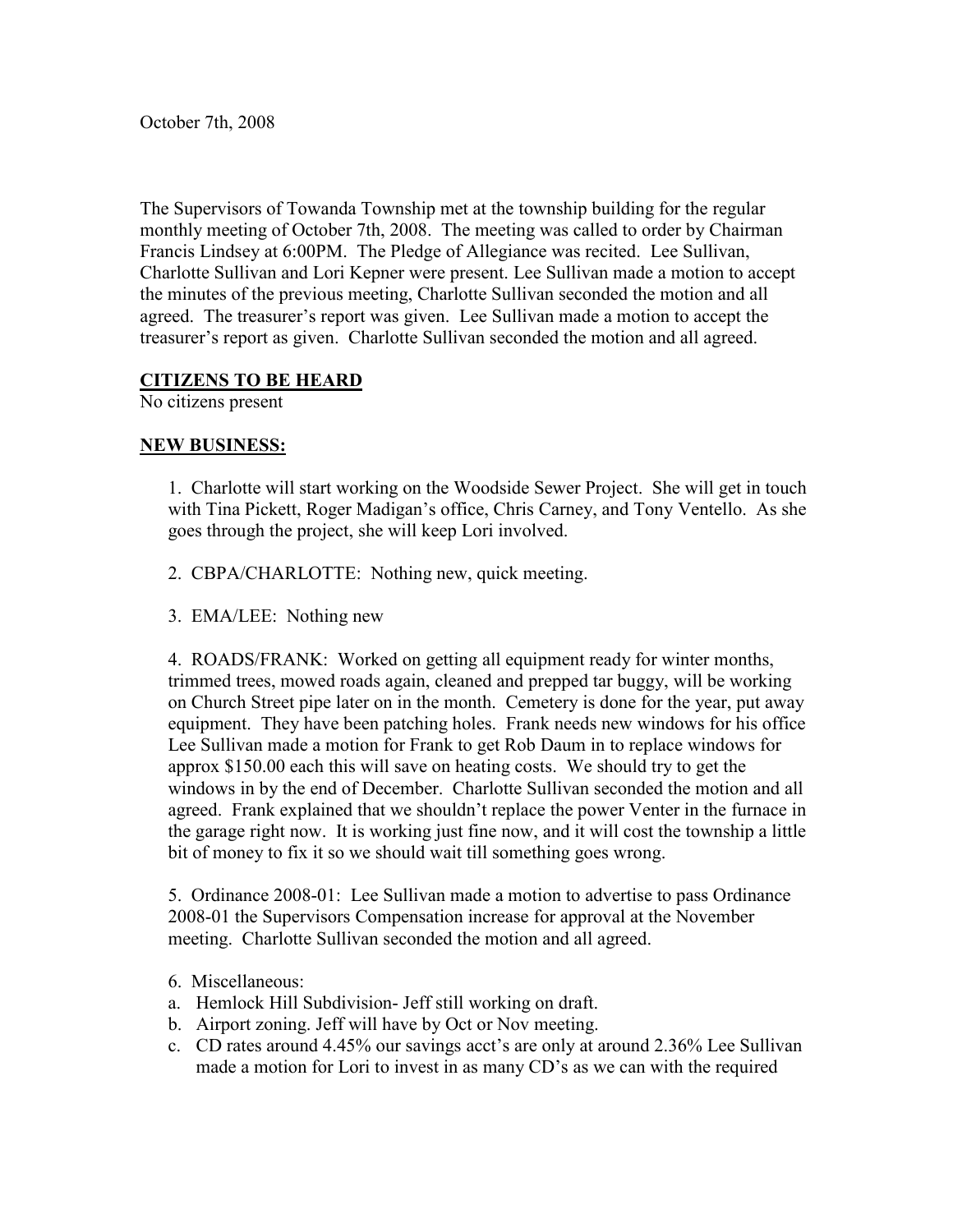The Supervisors of Towanda Township met at the township building for the regular monthly meeting of October 7th, 2008. The meeting was called to order by Chairman Francis Lindsey at 6:00PM. The Pledge of Allegiance was recited. Lee Sullivan, Charlotte Sullivan and Lori Kepner were present. Lee Sullivan made a motion to accept the minutes of the previous meeting, Charlotte Sullivan seconded the motion and all agreed. The treasurer's report was given. Lee Sullivan made a motion to accept the treasurer's report as given. Charlotte Sullivan seconded the motion and all agreed.

#### **CITIZENS TO BE HEARD**

No citizens present

#### **NEW BUSINESS:**

1. Charlotte will start working on the Woodside Sewer Project. She will get in touch with Tina Pickett, Roger Madigan's office, Chris Carney, and Tony Ventello. As she goes through the project, she will keep Lori involved.

2.CBPA/CHARLOTTE: Nothing new, quick meeting.

3. EMA/LEE: Nothing new

4. ROADS/FRANK: Worked on getting all equipment ready for winter months, trimmed trees, mowed roads again, cleaned and prepped tar buggy, will be working on Church Street pipe later on in the month. Cemetery is done for the year, put away equipment. They have been patching holes. Frank needs new windows for his office Lee Sullivan made a motion for Frank to get Rob Daum in to replace windows for approx \$150.00 each this will save on heating costs. We should try to get the windows in by the end of December. Charlotte Sullivan seconded the motion and all agreed. Frank explained that we shouldn't replace the power Venter in the furnace in the garage right now. It is working just fine now, and it will cost the township a little bit of money to fix it so we should wait till something goes wrong.

5. Ordinance 2008-01: Lee Sullivan made a motion to advertise to pass Ordinance 2008-01 the Supervisors Compensation increase for approval at the November meeting. Charlotte Sullivan seconded the motion and all agreed.

- 6. Miscellaneous:
- a. Hemlock Hill Subdivision- Jeff still working on draft.
- b. Airport zoning. Jeff will have by Oct or Nov meeting.
- c. CD rates around 4.45% our savings acct's are only at around 2.36% Lee Sullivan made a motion for Lori to invest in as many CD's as we can with the required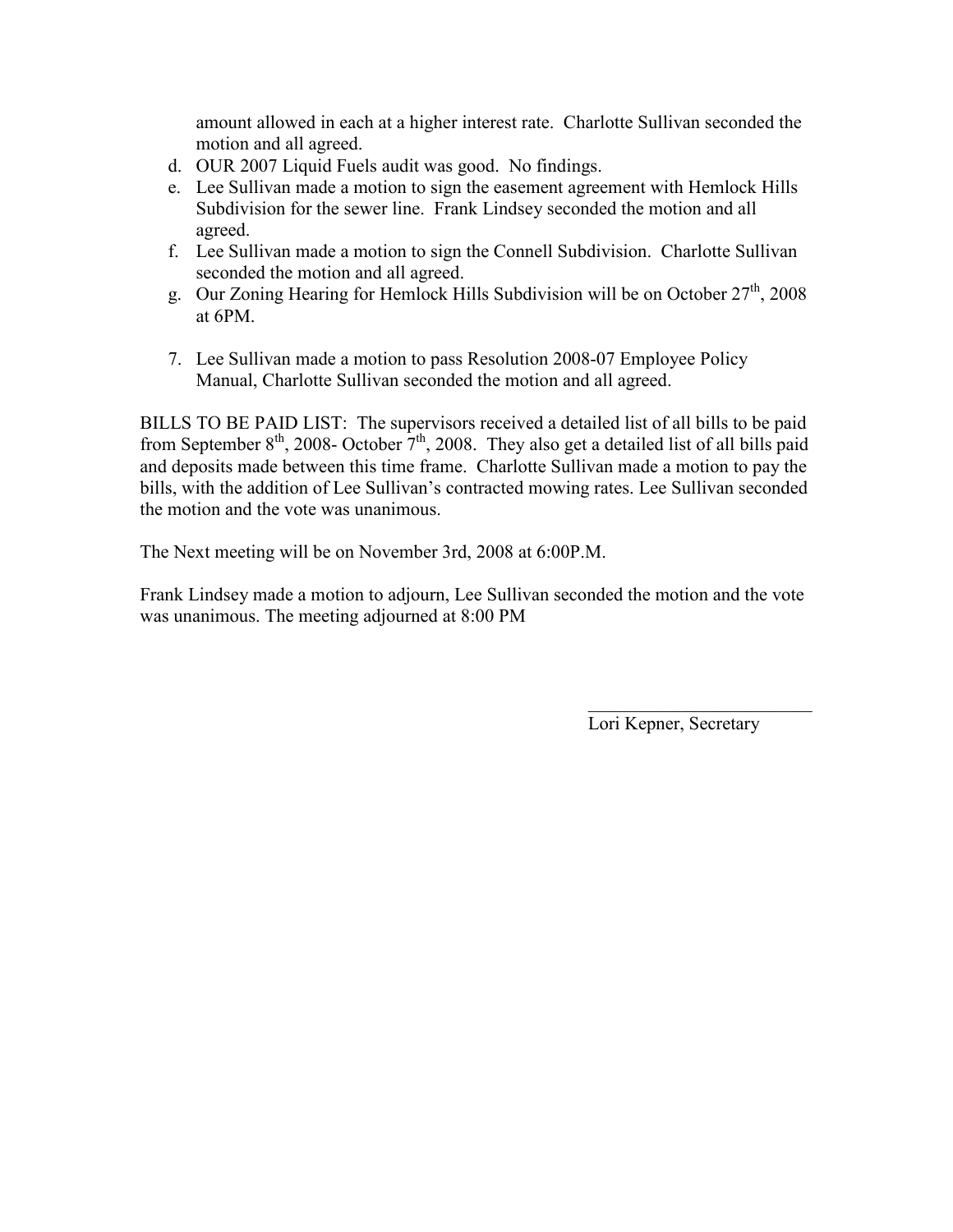amount allowed in each at a higher interest rate. Charlotte Sullivan seconded the motion and all agreed.

- d. OUR 2007 Liquid Fuels audit was good. No findings.
- e. Lee Sullivan made a motion to sign the easement agreement with Hemlock Hills Subdivision for the sewer line. Frank Lindsey seconded the motion and all agreed.
- f. Lee Sullivan made a motion to sign the Connell Subdivision. Charlotte Sullivan seconded the motion and all agreed.
- g. Our Zoning Hearing for Hemlock Hills Subdivision will be on October  $27<sup>th</sup>$ , 2008 at 6PM.
- 7. Lee Sullivan made a motion to pass Resolution 2008-07 Employee Policy Manual, Charlotte Sullivan seconded the motion and all agreed.

BILLS TO BE PAID LIST: The supervisors received a detailed list of all bills to be paid from September  $8<sup>th</sup>$ , 2008- October  $7<sup>th</sup>$ , 2008. They also get a detailed list of all bills paid and deposits made between this time frame. Charlotte Sullivan made a motion to pay the bills, with the addition of Lee Sullivan's contracted mowing rates. Lee Sullivan seconded the motion and the vote was unanimous.

The Next meeting will be on November 3rd, 2008 at 6:00P.M.

Frank Lindsey made a motion to adjourn, Lee Sullivan seconded the motion and the vote was unanimous. The meeting adjourned at 8:00 PM

 $\mathcal{L}_\mathcal{L} = \{ \mathcal{L}_\mathcal{L} \mid \mathcal{L}_\mathcal{L} \in \mathcal{L}_\mathcal{L} \}$  , where  $\mathcal{L}_\mathcal{L} = \{ \mathcal{L}_\mathcal{L} \mid \mathcal{L}_\mathcal{L} \in \mathcal{L}_\mathcal{L} \}$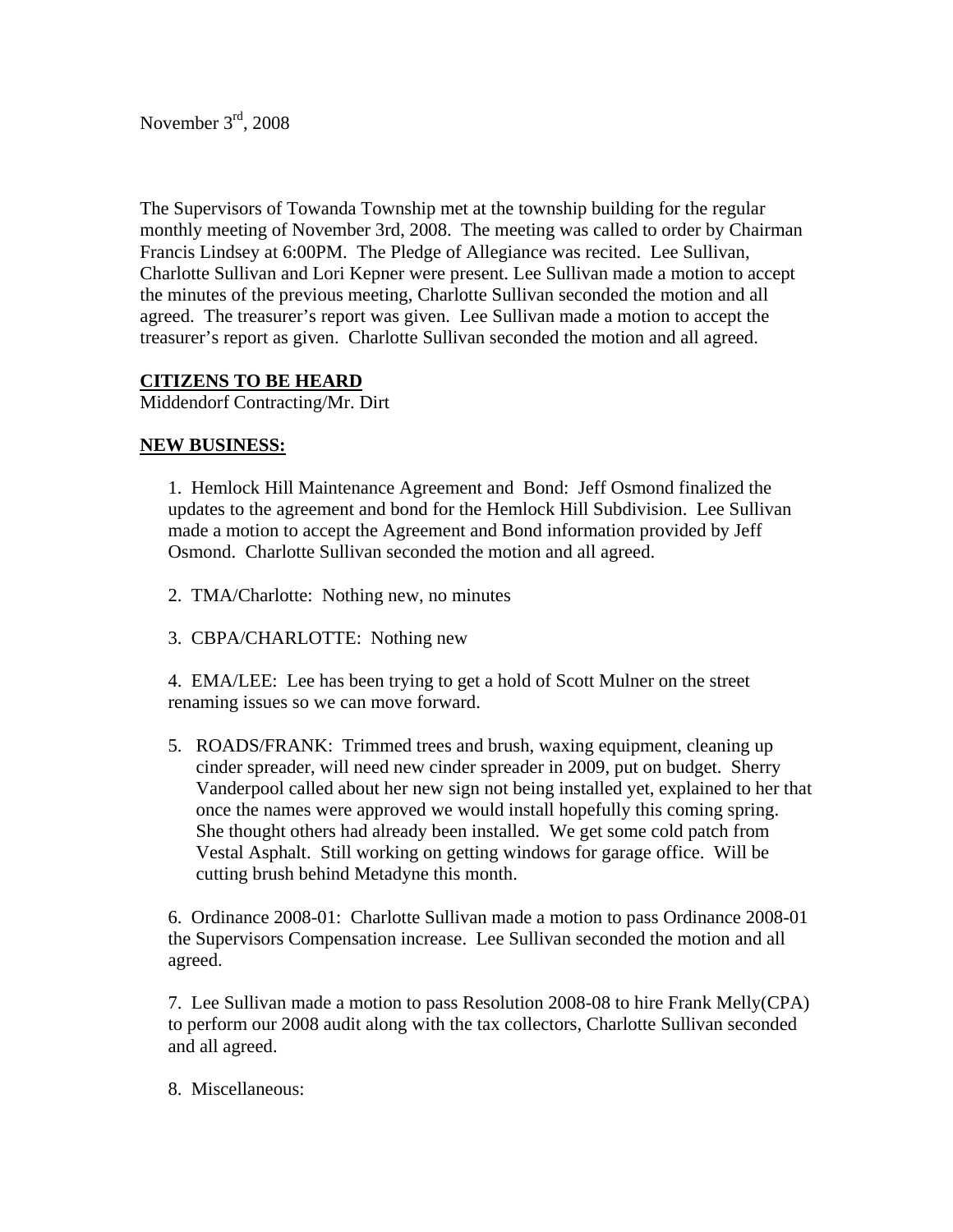November 3<sup>rd</sup>, 2008

The Supervisors of Towanda Township met at the township building for the regular monthly meeting of November 3rd, 2008. The meeting was called to order by Chairman Francis Lindsey at 6:00PM. The Pledge of Allegiance was recited. Lee Sullivan, Charlotte Sullivan and Lori Kepner were present. Lee Sullivan made a motion to accept the minutes of the previous meeting, Charlotte Sullivan seconded the motion and all agreed. The treasurer's report was given. Lee Sullivan made a motion to accept the treasurer's report as given. Charlotte Sullivan seconded the motion and all agreed.

## **CITIZENS TO BE HEARD**

Middendorf Contracting/Mr. Dirt

## **NEW BUSINESS:**

1. Hemlock Hill Maintenance Agreement and Bond: Jeff Osmond finalized the updates to the agreement and bond for the Hemlock Hill Subdivision. Lee Sullivan made a motion to accept the Agreement and Bond information provided by Jeff Osmond. Charlotte Sullivan seconded the motion and all agreed.

- 2. TMA/Charlotte: Nothing new, no minutes
- 3.CBPA/CHARLOTTE: Nothing new

4. EMA/LEE: Lee has been trying to get a hold of Scott Mulner on the street renaming issues so we can move forward.

5. ROADS/FRANK: Trimmed trees and brush, waxing equipment, cleaning up cinder spreader, will need new cinder spreader in 2009, put on budget. Sherry Vanderpool called about her new sign not being installed yet, explained to her that once the names were approved we would install hopefully this coming spring. She thought others had already been installed. We get some cold patch from Vestal Asphalt. Still working on getting windows for garage office. Will be cutting brush behind Metadyne this month.

6. Ordinance 2008-01: Charlotte Sullivan made a motion to pass Ordinance 2008-01 the Supervisors Compensation increase. Lee Sullivan seconded the motion and all agreed.

7. Lee Sullivan made a motion to pass Resolution 2008-08 to hire Frank Melly(CPA) to perform our 2008 audit along with the tax collectors, Charlotte Sullivan seconded and all agreed.

8. Miscellaneous: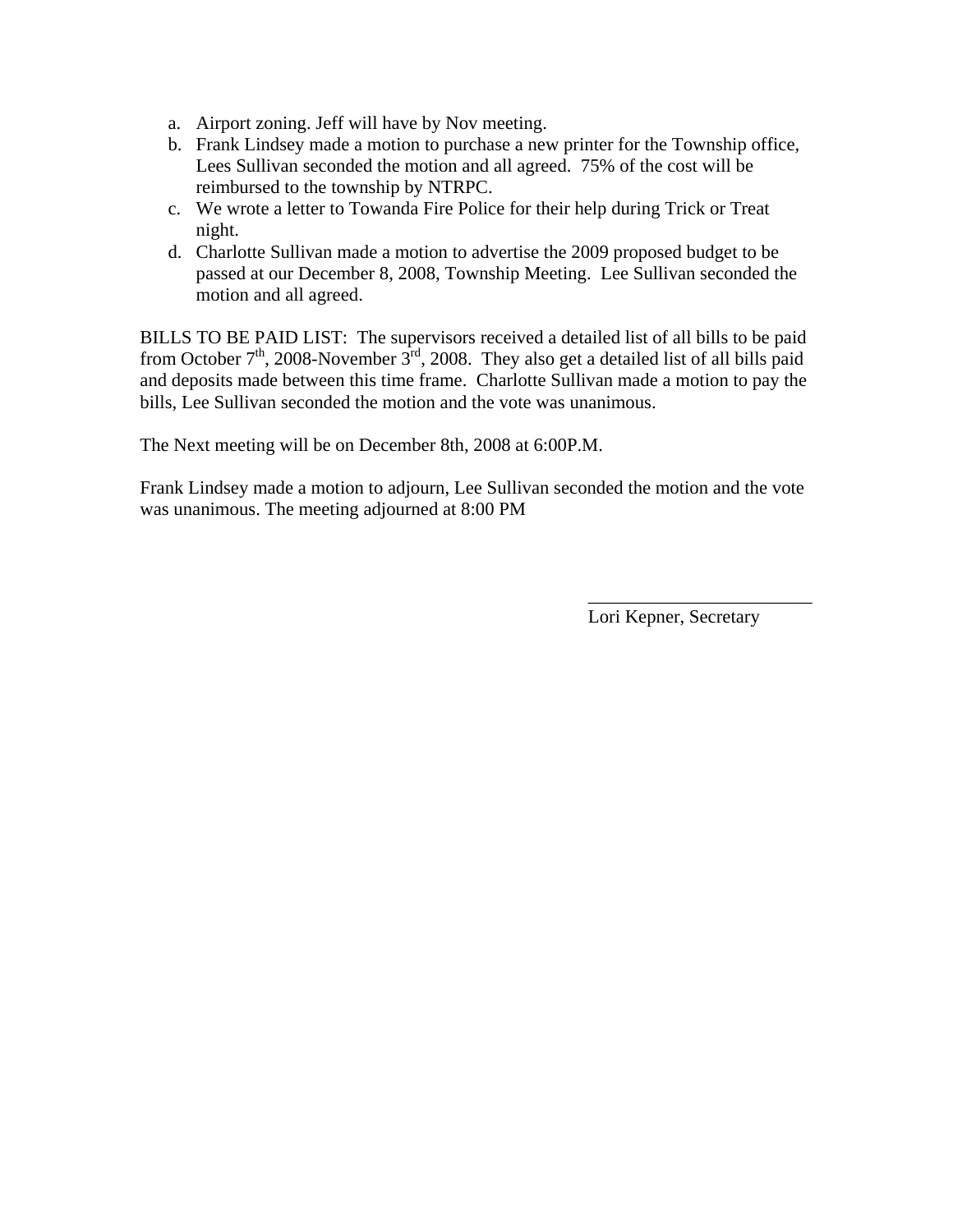- a. Airport zoning. Jeff will have by Nov meeting.
- b. Frank Lindsey made a motion to purchase a new printer for the Township office, Lees Sullivan seconded the motion and all agreed. 75% of the cost will be reimbursed to the township by NTRPC.
- c. We wrote a letter to Towanda Fire Police for their help during Trick or Treat night.
- d. Charlotte Sullivan made a motion to advertise the 2009 proposed budget to be passed at our December 8, 2008, Township Meeting. Lee Sullivan seconded the motion and all agreed.

BILLS TO BE PAID LIST: The supervisors received a detailed list of all bills to be paid from October  $7<sup>th</sup>$ , 2008-November  $3<sup>rd</sup>$ , 2008. They also get a detailed list of all bills paid and deposits made between this time frame. Charlotte Sullivan made a motion to pay the bills, Lee Sullivan seconded the motion and the vote was unanimous.

The Next meeting will be on December 8th, 2008 at 6:00P.M.

Frank Lindsey made a motion to adjourn, Lee Sullivan seconded the motion and the vote was unanimous. The meeting adjourned at 8:00 PM

 $\overline{\phantom{a}}$  , which is a set of the contract of the contract of the contract of the contract of the contract of the contract of the contract of the contract of the contract of the contract of the contract of the contract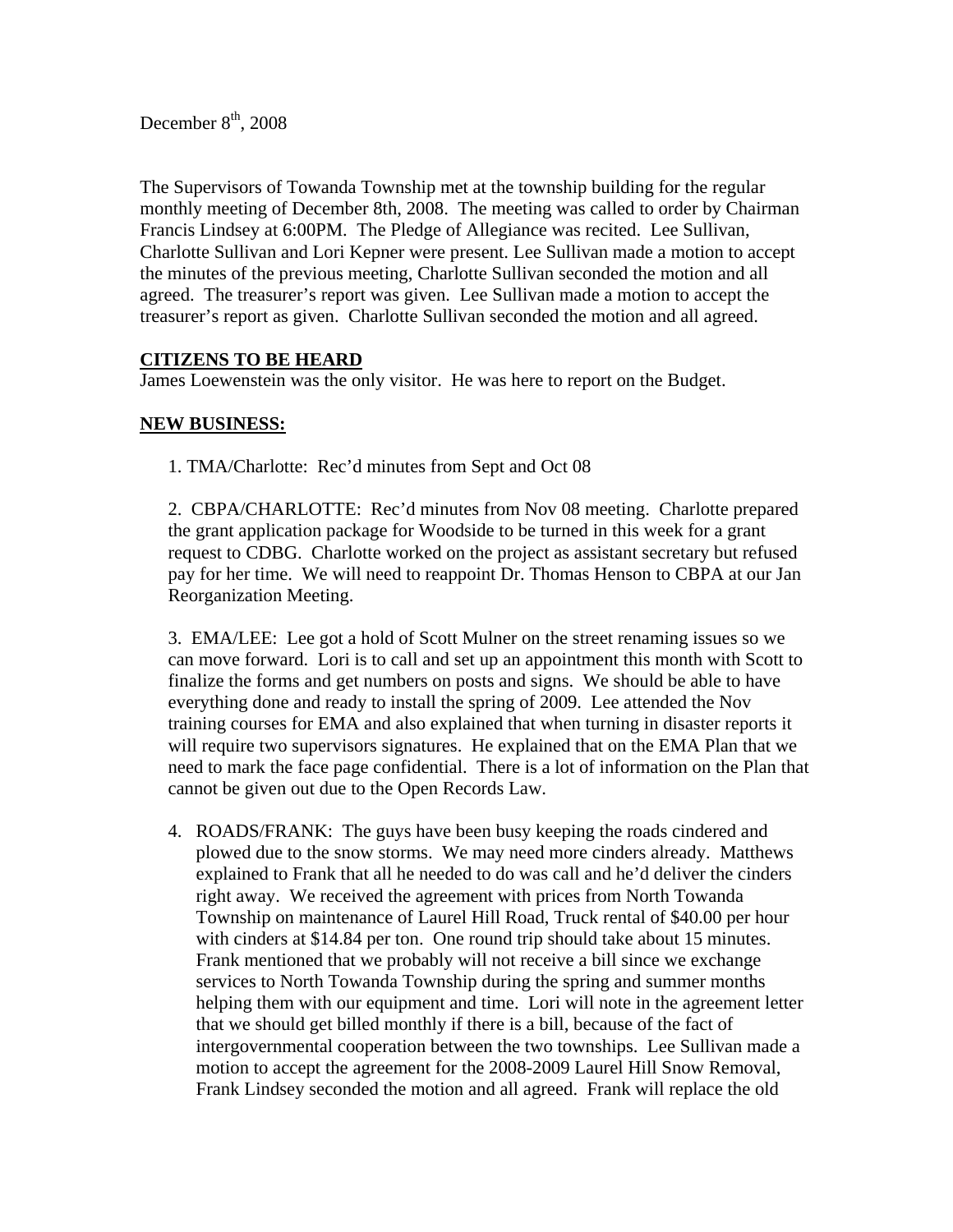December  $8<sup>th</sup>$ , 2008

The Supervisors of Towanda Township met at the township building for the regular monthly meeting of December 8th, 2008. The meeting was called to order by Chairman Francis Lindsey at 6:00PM. The Pledge of Allegiance was recited. Lee Sullivan, Charlotte Sullivan and Lori Kepner were present. Lee Sullivan made a motion to accept the minutes of the previous meeting, Charlotte Sullivan seconded the motion and all agreed. The treasurer's report was given. Lee Sullivan made a motion to accept the treasurer's report as given. Charlotte Sullivan seconded the motion and all agreed.

## **CITIZENS TO BE HEARD**

James Loewenstein was the only visitor. He was here to report on the Budget.

## **NEW BUSINESS:**

1. TMA/Charlotte: Rec'd minutes from Sept and Oct 08

2. CBPA/CHARLOTTE: Rec'd minutes from Nov 08 meeting. Charlotte prepared the grant application package for Woodside to be turned in this week for a grant request to CDBG. Charlotte worked on the project as assistant secretary but refused pay for her time. We will need to reappoint Dr. Thomas Henson to CBPA at our Jan Reorganization Meeting.

3.EMA/LEE: Lee got a hold of Scott Mulner on the street renaming issues so we can move forward. Lori is to call and set up an appointment this month with Scott to finalize the forms and get numbers on posts and signs. We should be able to have everything done and ready to install the spring of 2009. Lee attended the Nov training courses for EMA and also explained that when turning in disaster reports it will require two supervisors signatures. He explained that on the EMA Plan that we need to mark the face page confidential. There is a lot of information on the Plan that cannot be given out due to the Open Records Law.

4. ROADS/FRANK: The guys have been busy keeping the roads cindered and plowed due to the snow storms. We may need more cinders already. Matthews explained to Frank that all he needed to do was call and he'd deliver the cinders right away. We received the agreement with prices from North Towanda Township on maintenance of Laurel Hill Road, Truck rental of \$40.00 per hour with cinders at \$14.84 per ton. One round trip should take about 15 minutes. Frank mentioned that we probably will not receive a bill since we exchange services to North Towanda Township during the spring and summer months helping them with our equipment and time. Lori will note in the agreement letter that we should get billed monthly if there is a bill, because of the fact of intergovernmental cooperation between the two townships. Lee Sullivan made a motion to accept the agreement for the 2008-2009 Laurel Hill Snow Removal, Frank Lindsey seconded the motion and all agreed. Frank will replace the old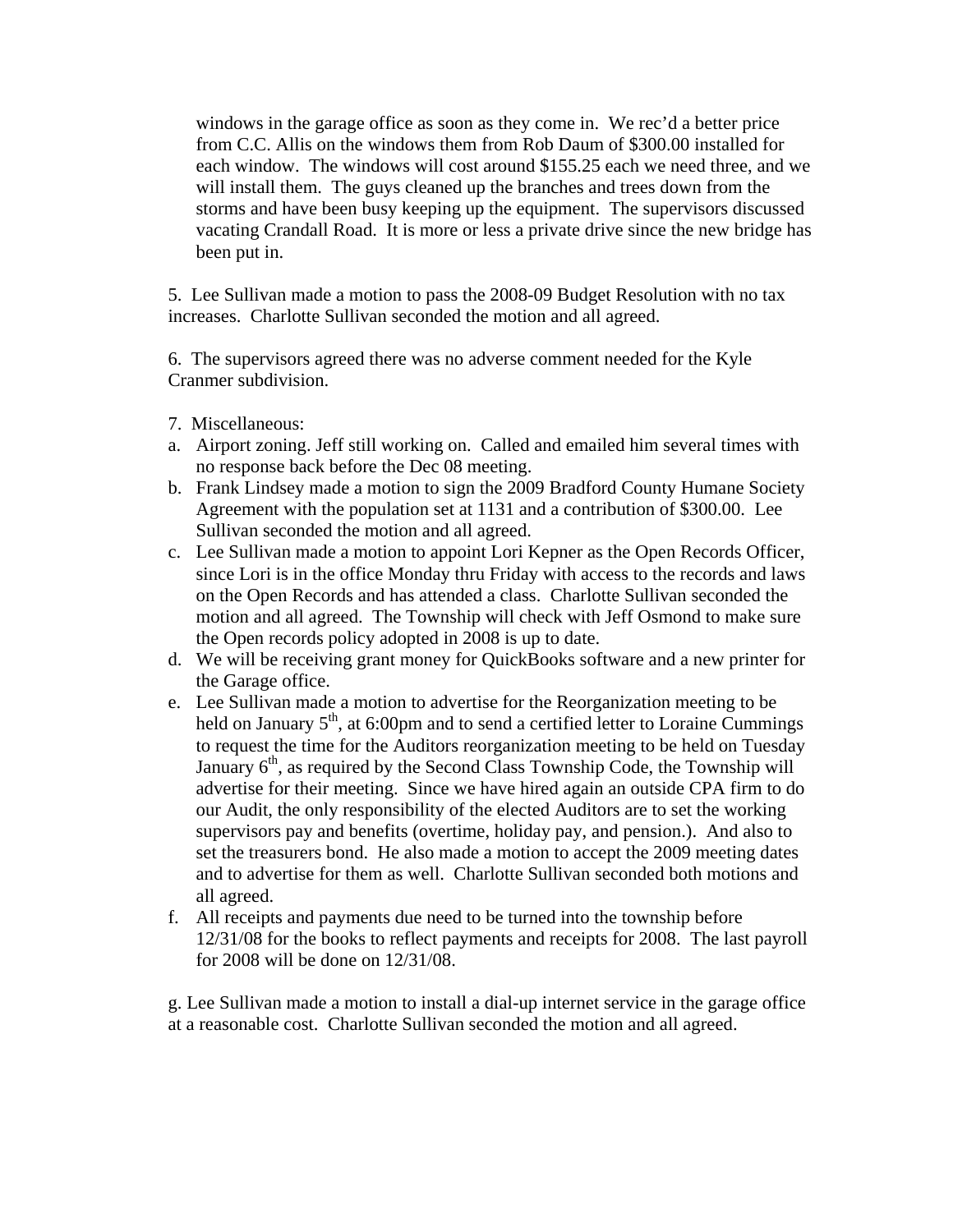windows in the garage office as soon as they come in. We rec'd a better price from C.C. Allis on the windows them from Rob Daum of \$300.00 installed for each window. The windows will cost around \$155.25 each we need three, and we will install them. The guys cleaned up the branches and trees down from the storms and have been busy keeping up the equipment. The supervisors discussed vacating Crandall Road. It is more or less a private drive since the new bridge has been put in.

5. Lee Sullivan made a motion to pass the 2008-09 Budget Resolution with no tax increases. Charlotte Sullivan seconded the motion and all agreed.

6. The supervisors agreed there was no adverse comment needed for the Kyle Cranmer subdivision.

- 7. Miscellaneous:
- a. Airport zoning. Jeff still working on. Called and emailed him several times with no response back before the Dec 08 meeting.
- b. Frank Lindsey made a motion to sign the 2009 Bradford County Humane Society Agreement with the population set at 1131 and a contribution of \$300.00. Lee Sullivan seconded the motion and all agreed.
- c. Lee Sullivan made a motion to appoint Lori Kepner as the Open Records Officer, since Lori is in the office Monday thru Friday with access to the records and laws on the Open Records and has attended a class. Charlotte Sullivan seconded the motion and all agreed. The Township will check with Jeff Osmond to make sure the Open records policy adopted in 2008 is up to date.
- d. We will be receiving grant money for QuickBooks software and a new printer for the Garage office.
- e. Lee Sullivan made a motion to advertise for the Reorganization meeting to be held on January  $5<sup>th</sup>$ , at 6:00pm and to send a certified letter to Loraine Cummings to request the time for the Auditors reorganization meeting to be held on Tuesday January  $6<sup>th</sup>$ , as required by the Second Class Township Code, the Township will advertise for their meeting. Since we have hired again an outside CPA firm to do our Audit, the only responsibility of the elected Auditors are to set the working supervisors pay and benefits (overtime, holiday pay, and pension.). And also to set the treasurers bond. He also made a motion to accept the 2009 meeting dates and to advertise for them as well. Charlotte Sullivan seconded both motions and all agreed.
- f. All receipts and payments due need to be turned into the township before 12/31/08 for the books to reflect payments and receipts for 2008. The last payroll for 2008 will be done on 12/31/08.

g. Lee Sullivan made a motion to install a dial-up internet service in the garage office at a reasonable cost. Charlotte Sullivan seconded the motion and all agreed.